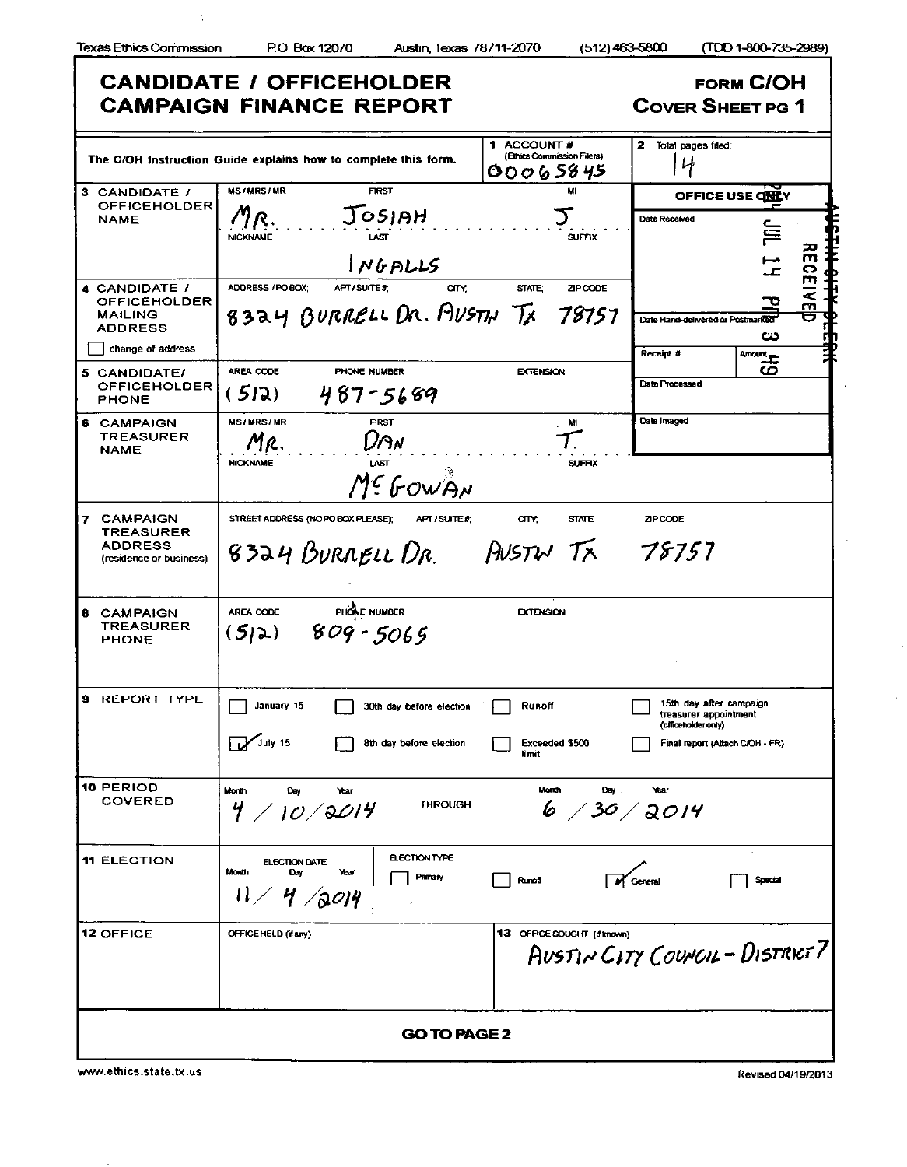$\frac{1}{3}$ 

|                                                                                        | <b>CANDIDATE / OFFICEHOLDER</b><br><b>CAMPAIGN FINANCE REPORT</b>                                                         | <b>FORM C/OH</b><br><b>COVER SHEET PG 1</b>                                                                |
|----------------------------------------------------------------------------------------|---------------------------------------------------------------------------------------------------------------------------|------------------------------------------------------------------------------------------------------------|
|                                                                                        | 1 ACCOUNT #<br>(Ethics Commission Filers)<br>The C/OH Instruction Guide explains how to complete this form.<br>00065845   | 2 Total pages filed:<br>屮                                                                                  |
| 3 CANDIDATE /<br><b>OFFICEHOLDER</b><br><b>NAME</b>                                    | <b>MS/MRS/MR</b><br><b>FIRST</b><br>M<br>JOSIAH<br><b>SUFFIX</b><br><b>NICKNAME</b><br>N6PLL5                             | OFFICE USE CHEY<br><b>Date Received</b><br>旨<br>m<br>ᅩ                                                     |
| 4 CANDIDATE /<br><b>OFFICEHOLDER</b><br>MAILING<br><b>ADDRESS</b><br>change of address | ADORESS / PO BOX:<br>APT / SUITE #:<br>arv.<br><b>STATE:</b><br>ZIP CODE<br>8324 BURRELL DR. AUSTH TX 78757               | CEI<br>$\overline{3}$<br>Date Hand-delivered or Postmarked<br>دے                                           |
| 5 CANDIDATE/<br><b>OFFICEHOLDER</b><br><b>PHONE</b>                                    | AREA CODE<br>PHONE NUMBER<br><b>EXTENSION</b><br>(512)<br>487-5689                                                        | Receipt #<br>$\overline{\text{Amount}}$<br>ပ<br>Date Processed                                             |
| <b>6 CAMPAIGN</b><br><b>TREASURER</b><br><b>NAME</b>                                   | <b>MS/MRS/MR</b><br>FIRST<br>M<br>ו P א<br>MR.<br><b>NICKNAME</b><br>LAST<br><b>SUFFIX</b><br>Mª GOWAN                    | Date Imaged                                                                                                |
| 7 CAMPAIGN<br><b>TREASURER</b><br><b>ADDRESS</b><br>(residence or business)            | STREET ADDRESS (NO PO BOX PLEASE):<br>any.<br>APT / SUITE #<br><b>STATE:</b><br><b>AUSTW TX 78757</b><br>8324 BURRELL DR. | <b>ZIP CODE</b>                                                                                            |
| 8 CAMPAIGN<br><b>TREASURER</b><br><b>PHONE</b>                                         | PHONE NUMBER<br>AREA CODE<br><b>EXTENSION</b><br>$(5)2) 809 - 5065$                                                       |                                                                                                            |
| <b>9 REPORT TYPE</b>                                                                   | January 15<br>Runoff<br>30th day before election<br>$\sum$ July 15<br>8th day before election<br>Exceeded \$500<br>limit  | 15th day after campaign<br>treasurer appointment<br>(officeholder only)<br>Final report (Attach C/OH - FR) |
| <b>10 PERIOD</b><br><b>COVERED</b>                                                     | Month<br>Month<br>Day<br>Day<br>Year<br>THROUGH<br>$4 \; / \;$ 10 $/$ 2014<br>6 / 30 / 3014                               | Year                                                                                                       |
| <b>11 ELECTION</b>                                                                     | <b>ELECTION TYPE</b><br><b>ELECTION DATE</b><br>Month<br>Year<br>Day<br><b>Primary</b><br>Runof<br>11 / 4 / 2014          | Special                                                                                                    |
| <b>12 OFFICE</b>                                                                       | 13 OFFICE SOUGHT (if known)<br>OFFICE HELD (if any)                                                                       | AUSTIN CITY COUNCIL - DISTRICT 7                                                                           |
|                                                                                        | <b>GO TO PAGE 2</b>                                                                                                       |                                                                                                            |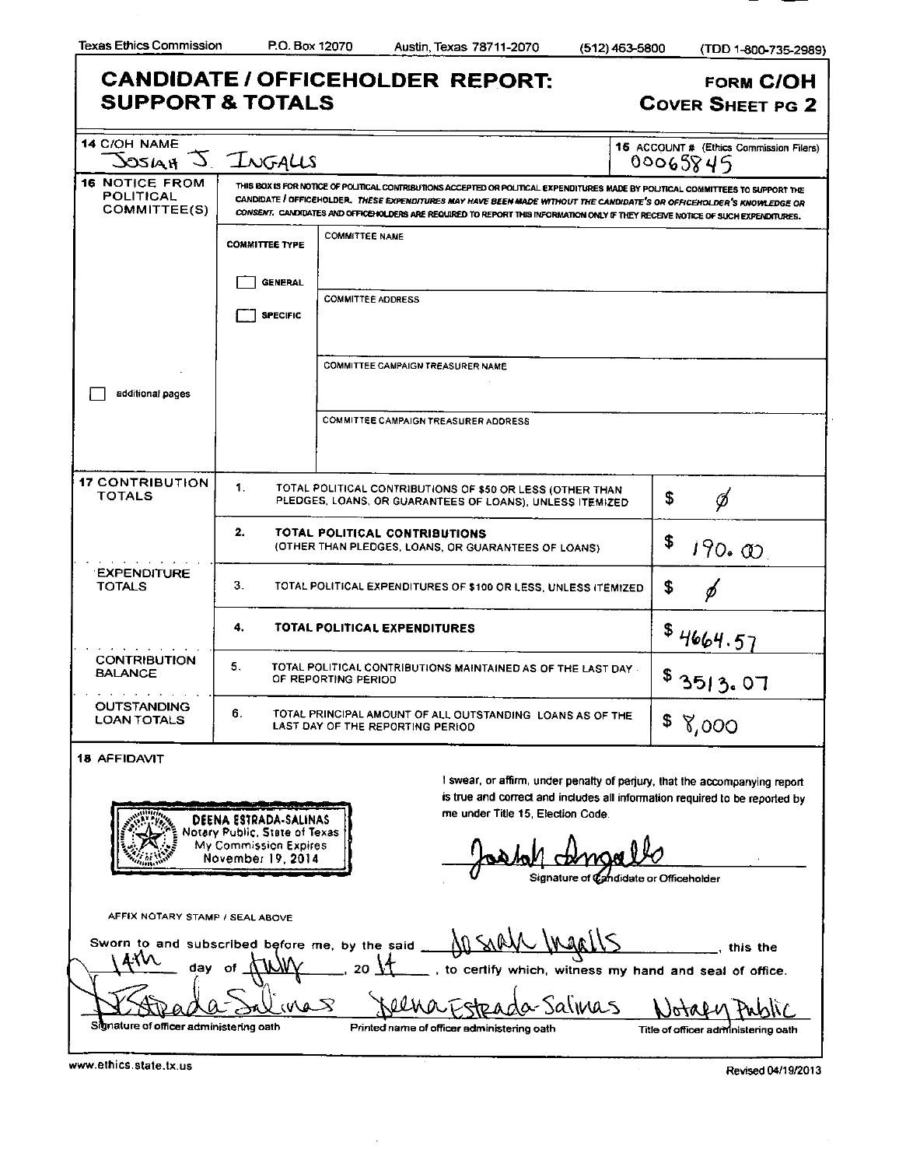|                                                                          | <b>SUPPORT &amp; TOTALS</b>                                                                          |                       |                                          |                                                     |                                                                                                                       | <b>COVER SHEET PG 2</b>                                                                                                                                                                                                                                                                                                                                                                       |
|--------------------------------------------------------------------------|------------------------------------------------------------------------------------------------------|-----------------------|------------------------------------------|-----------------------------------------------------|-----------------------------------------------------------------------------------------------------------------------|-----------------------------------------------------------------------------------------------------------------------------------------------------------------------------------------------------------------------------------------------------------------------------------------------------------------------------------------------------------------------------------------------|
| <b>14 C/OH NAME</b>                                                      | SOSIAH J. INGALIS                                                                                    |                       |                                          |                                                     |                                                                                                                       | <b>15 ACCOUNT # (Ethics Commission Filers)</b><br>00065845                                                                                                                                                                                                                                                                                                                                    |
| <b>16 NOTICE FROM</b><br>POLITICAL<br>COMMITTEE(S)                       |                                                                                                      |                       |                                          |                                                     |                                                                                                                       | THIS BOX IS FOR NOTICE OF POLITICAL CONTRIBUTIONS ACCEPTED OR POLITICAL EXPENDITURES MADE BY POLITICAL COMMITTEES TO SUPPORT THE<br>CANDIDATE I OFFICEHOLDER. THESE EXPENDITURES MAY HAVE BEEN MADE WITHOUT THE CANDIDATE'S OR OFFICEHOLDER'S KNOWLEDGE OR<br>CONSENT. CANDIDATES AND OFFICENOLDERS ARE REQUIRED TO REPORT THIS INFORMATION ONLY IF THEY RECEIVE NOTICE OF SUCH EXPENDITURES. |
|                                                                          | <b>COMMITTEE TYPE</b>                                                                                | <b>COMMITTEE NAME</b> |                                          |                                                     |                                                                                                                       |                                                                                                                                                                                                                                                                                                                                                                                               |
|                                                                          | <b>GENERAL</b>                                                                                       |                       |                                          |                                                     |                                                                                                                       |                                                                                                                                                                                                                                                                                                                                                                                               |
|                                                                          | <b>SPECIFIC</b>                                                                                      |                       | <b>COMMITTEE ADDRESS</b>                 |                                                     |                                                                                                                       |                                                                                                                                                                                                                                                                                                                                                                                               |
|                                                                          |                                                                                                      |                       | <b>COMMITTEE CAMPAIGN TREASURER NAME</b> |                                                     |                                                                                                                       |                                                                                                                                                                                                                                                                                                                                                                                               |
| additional pages                                                         |                                                                                                      |                       |                                          |                                                     |                                                                                                                       |                                                                                                                                                                                                                                                                                                                                                                                               |
|                                                                          |                                                                                                      |                       |                                          | <b>COMMITTEE CAMPAIGN TREASURER ADDRESS</b>         |                                                                                                                       |                                                                                                                                                                                                                                                                                                                                                                                               |
| <b>17 CONTRIBUTION</b><br><b>TOTALS</b>                                  | 1.                                                                                                   |                       |                                          |                                                     | TOTAL POLITICAL CONTRIBUTIONS OF \$50 OR LESS (OTHER THAN<br>PLEDGES, LOANS, OR GUARANTEES OF LOANS), UNLESS ITEMIZED | \$<br>Ø                                                                                                                                                                                                                                                                                                                                                                                       |
|                                                                          | 2.                                                                                                   |                       | TOTAL POLITICAL CONTRIBUTIONS            | (OTHER THAN PLEDGES, LOANS, OR GUARANTEES OF LOANS) |                                                                                                                       | \$<br>190.00                                                                                                                                                                                                                                                                                                                                                                                  |
| <b>EXPENDITURE</b><br><b>TOTALS</b>                                      | З.                                                                                                   |                       |                                          |                                                     | TOTAL POLITICAL EXPENDITURES OF \$100 OR LESS, UNLESS ITEMIZED                                                        | \$                                                                                                                                                                                                                                                                                                                                                                                            |
|                                                                          | 4.                                                                                                   |                       | TOTAL POLITICAL EXPENDITURES             |                                                     |                                                                                                                       | 4664.57                                                                                                                                                                                                                                                                                                                                                                                       |
| <b>CONTRIBUTION</b><br><b>BALANCE</b><br>the contract of the contract of | 5.                                                                                                   | OF REPORTING PERIOD   |                                          |                                                     | TOTAL POLITICAL CONTRIBUTIONS MAINTAINED AS OF THE LAST DAY.                                                          | \$3513.07                                                                                                                                                                                                                                                                                                                                                                                     |
| <b>OUTSTANDING</b><br><b>LOAN TOTALS</b>                                 | 6.                                                                                                   |                       | LAST DAY OF THE REPORTING PERIOD         |                                                     | TOTAL PRINCIPAL AMOUNT OF ALL OUTSTANDING LOANS AS OF THE                                                             | 8,000                                                                                                                                                                                                                                                                                                                                                                                         |
| <b>18 AFFIDAVIT</b>                                                      |                                                                                                      |                       |                                          |                                                     |                                                                                                                       | I swear, or affirm, under penalty of perjury, that the accompanying report                                                                                                                                                                                                                                                                                                                    |
|                                                                          | DEENA ESTRADA-SALINAS<br>Notary Public, State of Texas<br>My Commission Expires<br>November 19, 2014 |                       |                                          | me under Title 15, Election Code.                   |                                                                                                                       | is true and correct and includes all information required to be reported by                                                                                                                                                                                                                                                                                                                   |
|                                                                          |                                                                                                      |                       |                                          |                                                     | Signature of Candidate or Officeholder                                                                                |                                                                                                                                                                                                                                                                                                                                                                                               |

<u>Stea</u> nature of officer administering oath Printed name of officer administering oath Title of officer administering oath

ena

O

 $\mathcal{\overline{S}}$ 

Ĵ.

da Salinas

Notaen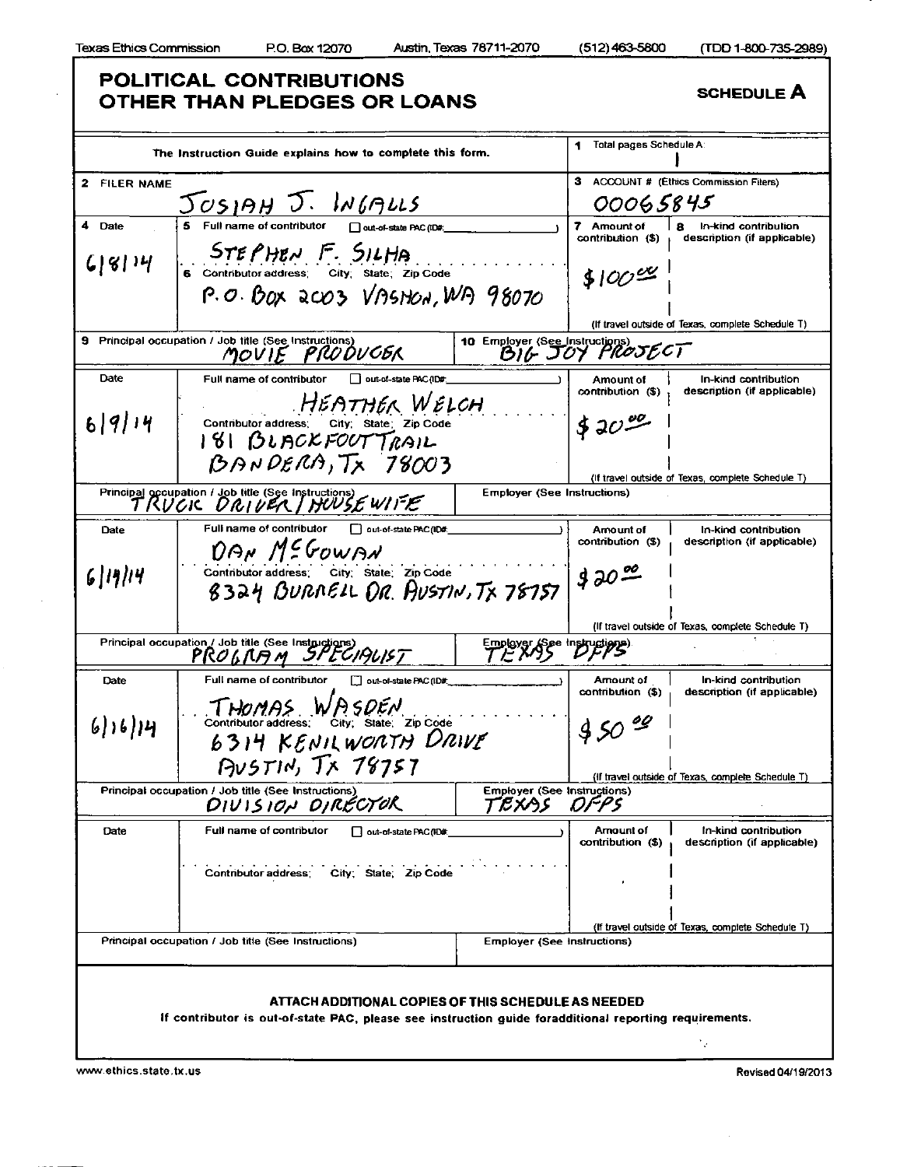Г

|  | (TDD 1-800-735- |  |
|--|-----------------|--|
|  |                 |  |

|                 | POLITICAL CONTRIBUTIONS<br>OTHER THAN PLEDGES OR LOANS                                                                                                        |                                                   |                                              | <b>SCHEDULE A</b>                                        |
|-----------------|---------------------------------------------------------------------------------------------------------------------------------------------------------------|---------------------------------------------------|----------------------------------------------|----------------------------------------------------------|
|                 | The Instruction Guide explains how to complete this form.                                                                                                     |                                                   | Total pages Schedule A:                      |                                                          |
| 2 FILER NAME    |                                                                                                                                                               |                                                   | з                                            | ACCOUNT # (Ethics Commission Filers)                     |
|                 | JOSIAH J. INGALLS                                                                                                                                             |                                                   | 00065845                                     |                                                          |
| 4 Date          | 5 Full name of contributor<br>Out-of-state PAC (ID#:                                                                                                          |                                                   | 7 Amount of<br>contribution (\$)             | 8<br>In-kind contribution<br>description (if applicable) |
| (814)           | STEPHEN F. SILHA<br>6 Contributor address: City: State: Zip Code<br>P.O. BOX 2003 VASHON, WA 98070                                                            |                                                   | $$100^{ex}$                                  |                                                          |
|                 |                                                                                                                                                               |                                                   |                                              | (If travel outside of Texas, complete Schedule T)        |
| 9.              | Principal occupation / Job title (See Instructions<br>MOVIE PRODUCER                                                                                          | 10 Employer (See Instructions)<br>BIG JOY PROJECT |                                              |                                                          |
| Date            | Full name of contributor<br>out-of-state PAC (ID#<br>HEATHER WELCH                                                                                            |                                                   | Amount of<br>contribution (\$)               | In-kind contribution<br>description (if applicable)      |
| 6 9 14          | Contributor address;<br>City: State: Zip Code<br>181 BLACKFOUTTRAIL<br>$BAPNDERA, Tx$ 78003                                                                   |                                                   | $$30^{90}$                                   |                                                          |
|                 |                                                                                                                                                               |                                                   |                                              | (If travel outside of Texas, complete Schedule T)        |
|                 | Principal occupation / Job title (See Instructions)<br>TRUCIC DRIVER / HUUSE WITE                                                                             | <b>Employer (See Instructions)</b>                |                                              |                                                          |
| Date            | Full name of contributor [ ] out-of-state PAC (ID#,                                                                                                           |                                                   | Amount of<br>contribution (\$)               | In-kind contribution<br>description (if applicable)      |
| 6 19 14         | DAN MEGOWAN<br>Contributor address: City: State: Zip Code<br>8324 BURRELL DR. AUSTIN, TX 78757                                                                |                                                   | $320^{80}$                                   | (If travel outside of Texas, complete Schedule T)        |
|                 |                                                                                                                                                               |                                                   |                                              |                                                          |
|                 | Principal occupation / Job title (See Instructions)<br>PROGTA STECIAUST                                                                                       | Employer (See Instructions)                       |                                              |                                                          |
| Date<br>6116114 | Full name of contributor<br>out-of-state PAC (ID#<br>$T$ HOMAS WASDEN<br>Contributor address: City; State, Zip Code<br>6314 KENILWORTH DRIVE                  |                                                   | Amount of<br>contribution (\$)<br>$450^{99}$ | In-kind contribution<br>description (if applicable)      |
|                 | P <sub>V</sub> STIN, Tx 78757                                                                                                                                 |                                                   |                                              | (if travel outside of Texas, complete Schedule T)        |
|                 | Principal occupation / Job title (See Instructions)<br>DIVISION DIRECTOR                                                                                      | <b>Employer (See Instructions)</b><br>7.EXAS      | OFPS                                         |                                                          |
| Date            | Full name of contributor<br>out-of-state PAC (ID#:                                                                                                            |                                                   | Amount of<br>contribution (\$)               | In-kind contribution<br>description (if applicable)      |
|                 | <b>Contributor address</b><br>City, State, Zip Code                                                                                                           |                                                   |                                              |                                                          |
|                 | Principal occupation / Job title (See Instructions)                                                                                                           | <b>Employer (See Instructions)</b>                |                                              | (If travel outside of Texas, complete Schedule T)        |
|                 | ATTACH ADDITIONAL COPIES OF THIS SCHEDULE AS NEEDED<br>If contributor is out-of-state PAC, please see instruction guide foradditional reporting requirements. |                                                   |                                              | ١e                                                       |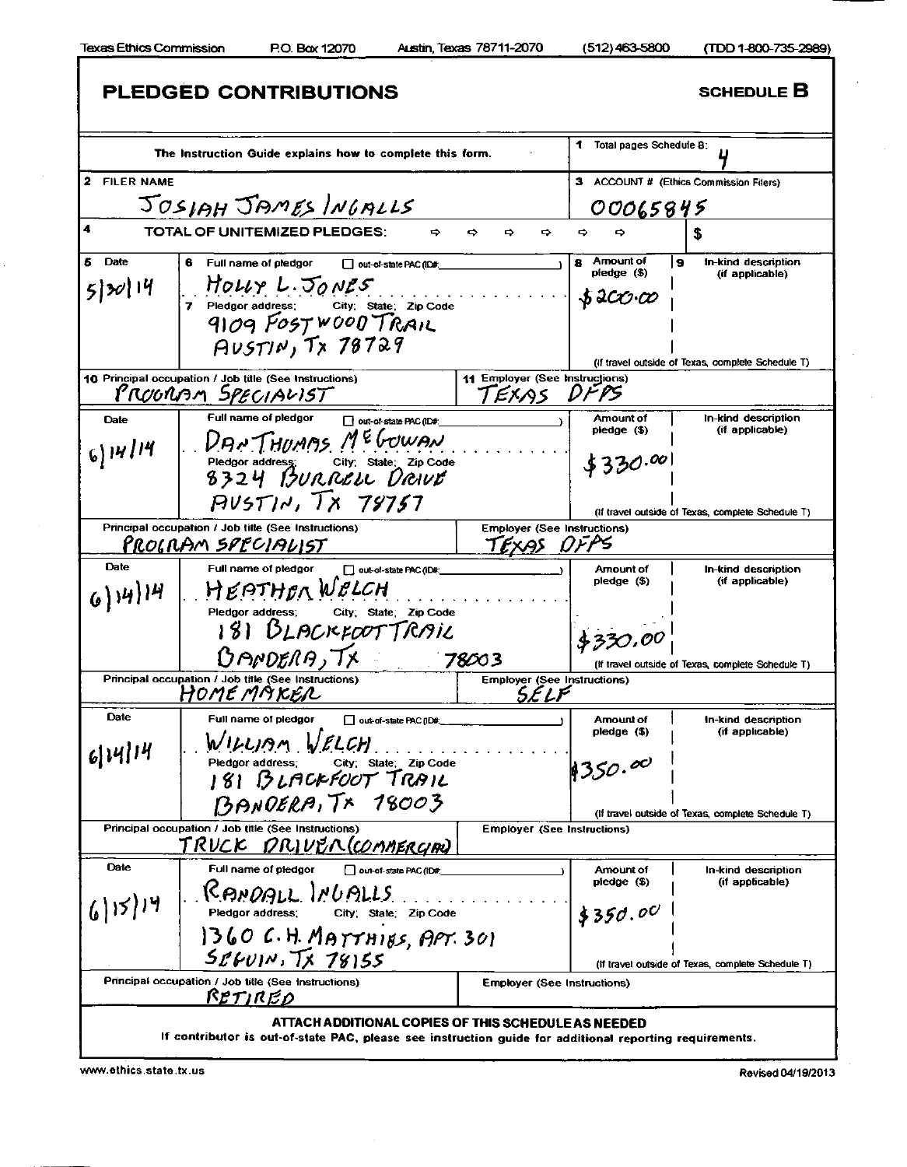Г

1

|               | PLEDGED CONTRIBUTIONS                                                                                                                          |                                                   |                                                            | <b>SCHEDULE B</b>                                 |
|---------------|------------------------------------------------------------------------------------------------------------------------------------------------|---------------------------------------------------|------------------------------------------------------------|---------------------------------------------------|
|               | The Instruction Guide explains how to complete this form.                                                                                      |                                                   | Total pages Schedule B:                                    |                                                   |
| 2 FILER NAME  |                                                                                                                                                |                                                   |                                                            | <b>ACCOUNT # (Ethics Commission Filers)</b>       |
|               | JOSIAH JAMES INGALLS                                                                                                                           |                                                   | 00065845                                                   |                                                   |
|               | <b>TOTAL OF UNITEMIZED PLEDGES:</b><br>⇨                                                                                                       | ⇨<br>⇨<br>⇨                                       | $\Rightarrow$                                              | S                                                 |
| <b>Date</b>   | 6 Full name of pledgor<br>Out-of-state PAC (ID#:                                                                                               |                                                   | Amount of<br>8<br>pledge (\$)                              | l 9<br>In-kind description                        |
| 5 30 14       | $H_{OLV} L.$ $50$ $N25$<br>7 Piedgor address: City, St<br>Pledgor address: City: State: Zip Code<br>9109 FOST WOOD TRAIL<br>$AUSTIN, Tx$ 78729 |                                                   | $\boldsymbol{\mathcal{S}}$ acco $\boldsymbol{\mathcal{C}}$ | (if applicable)                                   |
|               |                                                                                                                                                |                                                   |                                                            | (if travel outside of Texas, complete Schedule T) |
|               | 10 Principal occupation / Job title (See Instructions)<br>PROGRAM SPECIALIST                                                                   | 11 Employer (See Instructions)<br>TEXAS DFPS      |                                                            |                                                   |
| Date          | Full name of pledgor<br>out-of-state PAC (ID#:<br>DANTHUMAS MEGOWAN                                                                            |                                                   | Amount of<br>pledge(5)                                     | In-kind description<br>(if applicable)            |
| $6)$ 14/14    | Pledgor address: City: State: Zip Code<br>8324 BURRELL DRIVE                                                                                   |                                                   | \$330.00                                                   |                                                   |
|               | PUST14, 7X 79757                                                                                                                               |                                                   |                                                            | (if travel outside of Texas, complete Schedule T) |
|               | Principal occupation / Job title (See Instructions)<br>PROGRAM SPECIALIST                                                                      | <b>Employer (See Instructions)</b><br>TEXAS DFPS  |                                                            |                                                   |
| Date          | Full name of pledgor<br>out-of-state PAC (ID#:                                                                                                 |                                                   | Amount of                                                  | In-kind description                               |
| $6)$ 14) $14$ | $H$ $E$ $P$ $THB$ <sub>N</sub> $W$ $B$ $LCH$<br>City; State: Zip Code<br>Pledgor address;<br>181 BLACKFOOTTRAIL                                |                                                   | pledge (\$)<br>\$320.00                                    | (if applicable)                                   |
|               | <b>BANDERA, TX</b>                                                                                                                             | 78003                                             |                                                            | (If travel outside of Texas, complete Schedule T) |
|               | Principal occupation / Job title (See Instructions)<br>Home maker                                                                              | <b>Employer (See Instructions)</b><br><i>SELF</i> |                                                            |                                                   |
| Date          | Full name of pledgor<br>out-of-state PAC (ID#:<br>WILLIAM VELCH                                                                                |                                                   | Amount of<br>pledge (\$)                                   | In-kind description<br>(if applicable)            |
| 6 14 14       | Pledgor address: City: State: Zip Code<br>  8   BLACKFOOT TRAIL                                                                                |                                                   | 1350.00                                                    |                                                   |
|               | BANDERA, TX 18003                                                                                                                              |                                                   |                                                            | (If travel outside of Texas, complete Schedule T) |
|               | Principal occupation / Job title (See Instructions)<br><u>TRUCK DRIVER (COMMERCIAN</u>                                                         | <b>Employer (See Instructions)</b>                |                                                            |                                                   |
| Date          | Full name of pledgor<br>  out-of-state PAC (ID#                                                                                                |                                                   | Amount of                                                  | In-kind description                               |
| (6)15)14      | CAMDALL INUALLS<br>Pledgor address; City; State; Zip Code                                                                                      |                                                   | pledge (\$)<br>\$350.00                                    | (if applicable)                                   |
|               | 1360 C.H. MATTHIES, APT. 301<br>$S_{L}$ fuin, $T_{X}$ 78155                                                                                    |                                                   |                                                            | (If travel outside of Texas, complete Schedule T) |
|               | Principal occupation / Job title (See Instructions)                                                                                            | <b>Employer (See Instructions)</b>                |                                                            |                                                   |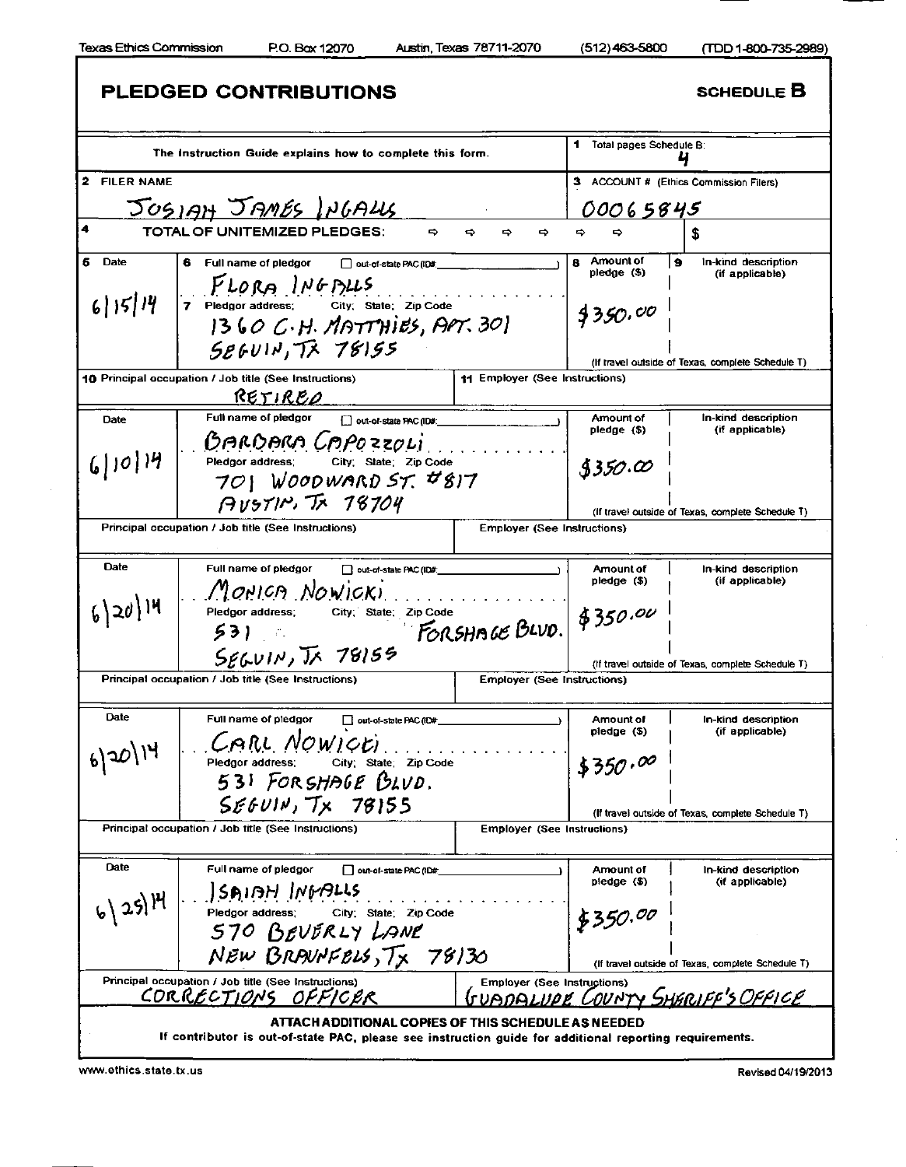ı

|              | PLEDGED CONTRIBUTIONS                                                                                                                                                                                                                                                                                                                                                      |                                    |                               | <b>SCHEDULE B</b>                                   |
|--------------|----------------------------------------------------------------------------------------------------------------------------------------------------------------------------------------------------------------------------------------------------------------------------------------------------------------------------------------------------------------------------|------------------------------------|-------------------------------|-----------------------------------------------------|
|              | The Instruction Guide explains how to complete this form.                                                                                                                                                                                                                                                                                                                  |                                    | Total pages Schedule B:       |                                                     |
| 2 FILER NAME |                                                                                                                                                                                                                                                                                                                                                                            |                                    | з                             | ACCOUNT # (Ethics Commission Filers)                |
|              | JOSIAH JAMES INGALLS                                                                                                                                                                                                                                                                                                                                                       |                                    | 00065845                      |                                                     |
| 4            | TOTAL OF UNITEMIZED PLEDGES:<br>⇨                                                                                                                                                                                                                                                                                                                                          | $\Rightarrow$<br>⇨                 |                               |                                                     |
| 6<br>Date    | 6<br>Full name of pledgor<br>out-of-state PAC (ID#:                                                                                                                                                                                                                                                                                                                        |                                    | Amount of<br>8<br>pledge (\$) | $\bullet$<br>In-kind description<br>(if applicable) |
| 6 15 14      | $PLOR$ $N6$ $PL5$<br>7 Pledgor address: City: State: Zip Code<br>$1360 C.H.$ MATTHIES, APT. 30<br>586011.77775                                                                                                                                                                                                                                                             |                                    | 4350.00                       |                                                     |
|              |                                                                                                                                                                                                                                                                                                                                                                            |                                    |                               | (If travel outside of Texas, complete Schedule T)   |
|              | 10 Principal occupation / Job title (See Instructions)<br>RETIREO                                                                                                                                                                                                                                                                                                          | 11 Employer (See Instructions)     |                               |                                                     |
| Date         | Full name of pledgor<br>out-of-state PAC (ID#:                                                                                                                                                                                                                                                                                                                             |                                    | Amount of<br>$pledge($ \$)    | In-kind description<br>(if applicable)              |
| 6 10 14      | GARDARA CAPOZZOLI<br>Pledgor address; City; State; Zip Code<br>701 WOODWARD ST. #817                                                                                                                                                                                                                                                                                       |                                    | \$350.00                      |                                                     |
|              | $AVSTIR$ , $IsT04$                                                                                                                                                                                                                                                                                                                                                         |                                    |                               | (if travel outside of Texas, complete Schedule T)   |
|              | Principal occupation / Job title (See Instructions)                                                                                                                                                                                                                                                                                                                        | <b>Employer (See Instructions)</b> |                               |                                                     |
|              |                                                                                                                                                                                                                                                                                                                                                                            |                                    |                               |                                                     |
| Date         | Full name of pledgor<br>out-of-state PAC (ID#                                                                                                                                                                                                                                                                                                                              |                                    | Amount of<br>$pledge($ \$)    | In-kind description<br>(if applicable)              |
| $6 20 $ 14   | MONICA NOWICKI<br>Pledgor address; City; State; Zip Code<br>53).                                                                                                                                                                                                                                                                                                           | FORSHAGE BLVD. \$350.00            |                               |                                                     |
|              | $S_{E6V1N}$ , $\overline{1}$ $\overline{1}$ $\overline{1}$ $\overline{1}$ $\overline{1}$ $\overline{1}$ $\overline{1}$ $\overline{1}$ $\overline{1}$ $\overline{1}$ $\overline{1}$ $\overline{1}$ $\overline{1}$ $\overline{1}$ $\overline{1}$ $\overline{1}$ $\overline{1}$ $\overline{1}$ $\overline{1}$ $\overline{1}$ $\overline{1}$ $\overline{1}$ $\overline{1}$ $\$ |                                    |                               | (If travel outside of Texas, complete Schedule T)   |
|              | Principal occupation / Job title (See Instructions)                                                                                                                                                                                                                                                                                                                        | <b>Employer (See Instructions)</b> |                               |                                                     |
| Date         | Full name of pledgor<br>out-of-state PAC (ID#                                                                                                                                                                                                                                                                                                                              |                                    | Amount of                     | In-kind description                                 |
|              | CARL NOWICEI                                                                                                                                                                                                                                                                                                                                                               |                                    | pledge (\$)                   | (if applicable)                                     |
| 620114       | City; State; Zip Code<br>Pledgor address;<br>531 FORSHAGE BLVD.                                                                                                                                                                                                                                                                                                            |                                    | \$350.00                      |                                                     |
|              | SEFOUN, Tx 78155                                                                                                                                                                                                                                                                                                                                                           |                                    |                               | (If travel outside of Texas, complete Schedule T)   |
|              | Principal occupation / Job title (See Instructions)                                                                                                                                                                                                                                                                                                                        | <b>Employer (See Instructions)</b> |                               |                                                     |
| Date         | Full name of pledgor<br>out-of-state PAC (ID#                                                                                                                                                                                                                                                                                                                              |                                    | Amount of                     | In-kind description                                 |
| 6) 25) 14    | ISAIAH INGALLS                                                                                                                                                                                                                                                                                                                                                             |                                    | pledge(5)                     | (if applicable)                                     |
|              | City; State; Zip Code<br>Pledgor address;<br>570 BEVERLY LANE                                                                                                                                                                                                                                                                                                              |                                    | \$350.00                      |                                                     |
|              | NEW BRANNFELS, TX 78130                                                                                                                                                                                                                                                                                                                                                    |                                    |                               | (If travel outside of Texas, complete Schedule T)   |
|              | Principal occupation / Job title (See Instructions)<br>CORRECTIONS OFFICER                                                                                                                                                                                                                                                                                                 | <b>Employer (See Instructions)</b> |                               | <u>GUADALUPE COUNTY SHERIFF'S OFFICE</u>            |
|              | ATTACH ADDITIONAL COPIES OF THIS SCHEDULE AS NEEDED<br>If contributor is out-of-state PAC, please see instruction guide for additional reporting requirements.                                                                                                                                                                                                             |                                    |                               |                                                     |

 $\bar{ }$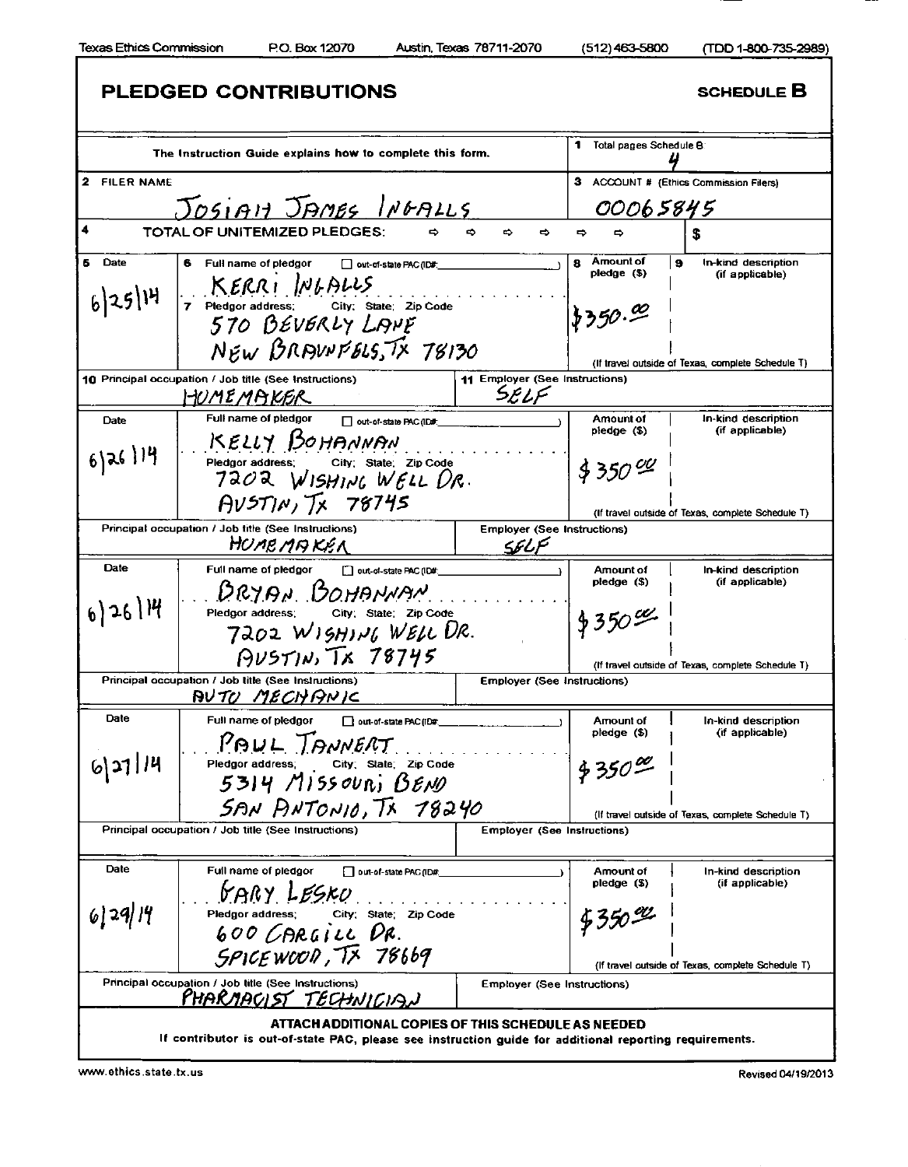I

| PLEDGED CONTRIBUTIONS                                                |                                                                                                                                                                                                                                                                                                                                                                                                                                                          |                                                                                                                                                                                         | <b>SCHEDULE B</b>                                                                                                                                                                                                                                                                                                                                                                                                                                                                                                                                            |
|----------------------------------------------------------------------|----------------------------------------------------------------------------------------------------------------------------------------------------------------------------------------------------------------------------------------------------------------------------------------------------------------------------------------------------------------------------------------------------------------------------------------------------------|-----------------------------------------------------------------------------------------------------------------------------------------------------------------------------------------|--------------------------------------------------------------------------------------------------------------------------------------------------------------------------------------------------------------------------------------------------------------------------------------------------------------------------------------------------------------------------------------------------------------------------------------------------------------------------------------------------------------------------------------------------------------|
|                                                                      |                                                                                                                                                                                                                                                                                                                                                                                                                                                          | 1.<br>Total pages Schedule B:                                                                                                                                                           |                                                                                                                                                                                                                                                                                                                                                                                                                                                                                                                                                              |
|                                                                      |                                                                                                                                                                                                                                                                                                                                                                                                                                                          | 3                                                                                                                                                                                       | ACCOUNT # (Ethics Commission Filers)                                                                                                                                                                                                                                                                                                                                                                                                                                                                                                                         |
|                                                                      |                                                                                                                                                                                                                                                                                                                                                                                                                                                          |                                                                                                                                                                                         |                                                                                                                                                                                                                                                                                                                                                                                                                                                                                                                                                              |
| TOTAL OF UNITEMIZED PLEDGES:                                         | ౚ<br>⇨<br>⇨                                                                                                                                                                                                                                                                                                                                                                                                                                              | ⇨                                                                                                                                                                                       |                                                                                                                                                                                                                                                                                                                                                                                                                                                                                                                                                              |
|                                                                      |                                                                                                                                                                                                                                                                                                                                                                                                                                                          |                                                                                                                                                                                         | 9 ا<br>In-kind description                                                                                                                                                                                                                                                                                                                                                                                                                                                                                                                                   |
|                                                                      |                                                                                                                                                                                                                                                                                                                                                                                                                                                          | pledge(5)                                                                                                                                                                               | (if applicable)                                                                                                                                                                                                                                                                                                                                                                                                                                                                                                                                              |
|                                                                      |                                                                                                                                                                                                                                                                                                                                                                                                                                                          |                                                                                                                                                                                         |                                                                                                                                                                                                                                                                                                                                                                                                                                                                                                                                                              |
|                                                                      |                                                                                                                                                                                                                                                                                                                                                                                                                                                          |                                                                                                                                                                                         |                                                                                                                                                                                                                                                                                                                                                                                                                                                                                                                                                              |
|                                                                      |                                                                                                                                                                                                                                                                                                                                                                                                                                                          |                                                                                                                                                                                         | (If travel outside of Texas, complete Schedule T)                                                                                                                                                                                                                                                                                                                                                                                                                                                                                                            |
| HUMEMAKER                                                            | SELF                                                                                                                                                                                                                                                                                                                                                                                                                                                     |                                                                                                                                                                                         |                                                                                                                                                                                                                                                                                                                                                                                                                                                                                                                                                              |
| Full name of pledgor<br>out-of-state PAC (ID#:                       |                                                                                                                                                                                                                                                                                                                                                                                                                                                          | <b>Amount of</b>                                                                                                                                                                        | In-kind description<br>(if applicable)                                                                                                                                                                                                                                                                                                                                                                                                                                                                                                                       |
| KELLY BOHANNAN                                                       |                                                                                                                                                                                                                                                                                                                                                                                                                                                          |                                                                                                                                                                                         |                                                                                                                                                                                                                                                                                                                                                                                                                                                                                                                                                              |
| City: State: Zip Code<br>Pledgor address;                            |                                                                                                                                                                                                                                                                                                                                                                                                                                                          | $330^{00}$                                                                                                                                                                              |                                                                                                                                                                                                                                                                                                                                                                                                                                                                                                                                                              |
| $AVST/N, T_X 78745$                                                  |                                                                                                                                                                                                                                                                                                                                                                                                                                                          |                                                                                                                                                                                         | (If travel outside of Texas, complete Schedule T)                                                                                                                                                                                                                                                                                                                                                                                                                                                                                                            |
| Principal occupation / Job title (See Instructions)                  |                                                                                                                                                                                                                                                                                                                                                                                                                                                          |                                                                                                                                                                                         |                                                                                                                                                                                                                                                                                                                                                                                                                                                                                                                                                              |
| HUMEMAKEN                                                            | SELF                                                                                                                                                                                                                                                                                                                                                                                                                                                     |                                                                                                                                                                                         |                                                                                                                                                                                                                                                                                                                                                                                                                                                                                                                                                              |
| Full name of pledgor<br>out-of-state PAC (ID#:                       |                                                                                                                                                                                                                                                                                                                                                                                                                                                          | Amount of                                                                                                                                                                               | In-kind description                                                                                                                                                                                                                                                                                                                                                                                                                                                                                                                                          |
| DRYAN BOHANNAN                                                       |                                                                                                                                                                                                                                                                                                                                                                                                                                                          |                                                                                                                                                                                         | (if applicable)                                                                                                                                                                                                                                                                                                                                                                                                                                                                                                                                              |
|                                                                      |                                                                                                                                                                                                                                                                                                                                                                                                                                                          |                                                                                                                                                                                         |                                                                                                                                                                                                                                                                                                                                                                                                                                                                                                                                                              |
|                                                                      |                                                                                                                                                                                                                                                                                                                                                                                                                                                          |                                                                                                                                                                                         |                                                                                                                                                                                                                                                                                                                                                                                                                                                                                                                                                              |
|                                                                      |                                                                                                                                                                                                                                                                                                                                                                                                                                                          |                                                                                                                                                                                         | (If travel outside of Texas, complete Schedule T)                                                                                                                                                                                                                                                                                                                                                                                                                                                                                                            |
| Principal occupation / Job title (See Instructions)<br>AVTO MECHANIC |                                                                                                                                                                                                                                                                                                                                                                                                                                                          |                                                                                                                                                                                         |                                                                                                                                                                                                                                                                                                                                                                                                                                                                                                                                                              |
| Full name of pledgor<br>out-of-state PAC (ID#                        |                                                                                                                                                                                                                                                                                                                                                                                                                                                          | Amount of                                                                                                                                                                               | In-kind description                                                                                                                                                                                                                                                                                                                                                                                                                                                                                                                                          |
|                                                                      |                                                                                                                                                                                                                                                                                                                                                                                                                                                          |                                                                                                                                                                                         | (if applicable)                                                                                                                                                                                                                                                                                                                                                                                                                                                                                                                                              |
|                                                                      |                                                                                                                                                                                                                                                                                                                                                                                                                                                          |                                                                                                                                                                                         |                                                                                                                                                                                                                                                                                                                                                                                                                                                                                                                                                              |
| $5314$ Missouri BENO                                                 |                                                                                                                                                                                                                                                                                                                                                                                                                                                          |                                                                                                                                                                                         |                                                                                                                                                                                                                                                                                                                                                                                                                                                                                                                                                              |
|                                                                      |                                                                                                                                                                                                                                                                                                                                                                                                                                                          |                                                                                                                                                                                         |                                                                                                                                                                                                                                                                                                                                                                                                                                                                                                                                                              |
| Principal occupation / Job title (See Instructions)                  |                                                                                                                                                                                                                                                                                                                                                                                                                                                          |                                                                                                                                                                                         |                                                                                                                                                                                                                                                                                                                                                                                                                                                                                                                                                              |
|                                                                      |                                                                                                                                                                                                                                                                                                                                                                                                                                                          |                                                                                                                                                                                         |                                                                                                                                                                                                                                                                                                                                                                                                                                                                                                                                                              |
| Full name of pledgor<br>Dut-of-state PAC (ID#                        |                                                                                                                                                                                                                                                                                                                                                                                                                                                          | Amount of                                                                                                                                                                               | In-kind description                                                                                                                                                                                                                                                                                                                                                                                                                                                                                                                                          |
|                                                                      |                                                                                                                                                                                                                                                                                                                                                                                                                                                          |                                                                                                                                                                                         | (if applicable)                                                                                                                                                                                                                                                                                                                                                                                                                                                                                                                                              |
| City, State Zip Code<br>Pledgor address:                             |                                                                                                                                                                                                                                                                                                                                                                                                                                                          |                                                                                                                                                                                         |                                                                                                                                                                                                                                                                                                                                                                                                                                                                                                                                                              |
|                                                                      |                                                                                                                                                                                                                                                                                                                                                                                                                                                          |                                                                                                                                                                                         |                                                                                                                                                                                                                                                                                                                                                                                                                                                                                                                                                              |
|                                                                      |                                                                                                                                                                                                                                                                                                                                                                                                                                                          |                                                                                                                                                                                         |                                                                                                                                                                                                                                                                                                                                                                                                                                                                                                                                                              |
|                                                                      |                                                                                                                                                                                                                                                                                                                                                                                                                                                          |                                                                                                                                                                                         | (If travel outside of Texas, complete Schedule T)                                                                                                                                                                                                                                                                                                                                                                                                                                                                                                            |
| PHARMACIST TECHNICIAN                                                |                                                                                                                                                                                                                                                                                                                                                                                                                                                          |                                                                                                                                                                                         |                                                                                                                                                                                                                                                                                                                                                                                                                                                                                                                                                              |
|                                                                      |                                                                                                                                                                                                                                                                                                                                                                                                                                                          |                                                                                                                                                                                         |                                                                                                                                                                                                                                                                                                                                                                                                                                                                                                                                                              |
|                                                                      | 6.<br>Full name of pledgor<br>out-of-state PAC (ID#:<br>$KERR$ $\sim$ $Nb$ $DLS$<br>7 Pledgor address: City; State: Zip Code<br>570 BEVERLY LANE<br>10 Principal occupation / Job title (See Instructions)<br>City: State: Zip Code<br>Pledgor address;<br>$PUSTIN, Tk$ $78745$<br>PAUL TANNERT<br>Pledgor address, City, State, Zip Code<br>GARY LESKO<br>600 CARGILL DR.<br>SPICEWOOD, TX 78669<br>Principal occupation / Job title (See Instructions) | The Instruction Guide explains how to complete this form.<br>JOSIAN JAMES INGALLS<br>NEW BRAUNFELS, TX 78130<br>7202 WISHING WELL DR.<br>7202 WISHING WELL UR.<br>SAN PNTONIO, TX 78240 | 00065845<br>Amount of<br>8<br>1,350.00<br>11 Employer (See Instructions)<br>pledge (\$)<br><b>Employer (See Instructions)</b><br>pledge (\$)<br>$$350^{\circ}$<br><b>Employer (See Instructions)</b><br>pledge (\$)<br>4350%<br>(If travel outside of Texas, complete Schedule T)<br><b>Employer (See Instructions)</b><br>pledge (\$)<br>$9550 - 2$<br><b>Employer (See Instructions)</b><br>ATTACH ADDITIONAL COPIES OF THIS SCHEDULE AS NEEDED<br>If contributor is out-of-state PAC, please see instruction guide for additional reporting requirements. |

www.ethics.state.tx.us Revised 04/19/2013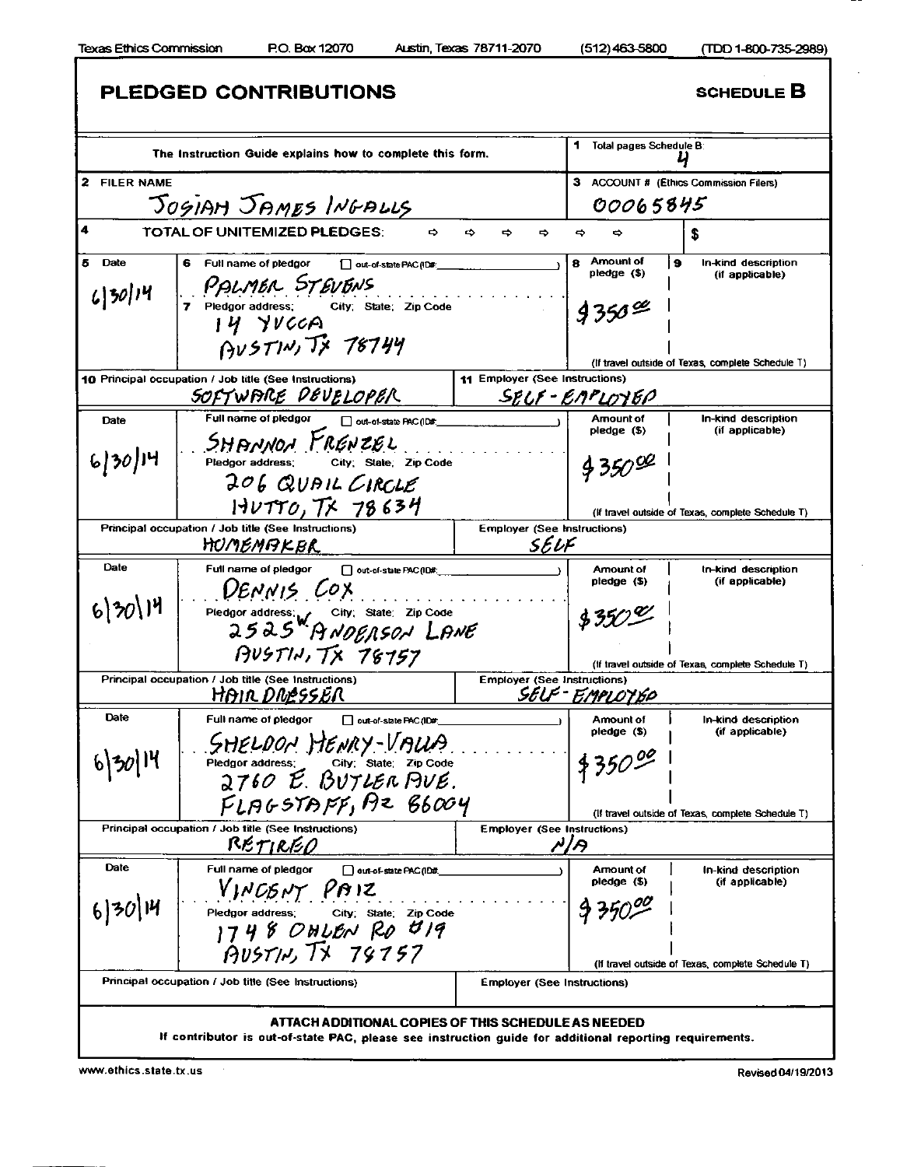f

1  $\overline{\phantom{a}}$ 

|                 | PLEDGED CONTRIBUTIONS                                                                                                                                          |                                    |                               | <b>SCHEDULE B</b>                                 |
|-----------------|----------------------------------------------------------------------------------------------------------------------------------------------------------------|------------------------------------|-------------------------------|---------------------------------------------------|
|                 | The Instruction Guide explains how to complete this form.                                                                                                      |                                    | Total pages Schedule B:<br>1. |                                                   |
| 2 FILER NAME    |                                                                                                                                                                |                                    | з                             | <b>ACCOUNT # (Ethics Commission Filers)</b>       |
|                 | JOGIAM JAMES INGALLS                                                                                                                                           |                                    | 00065845                      |                                                   |
| 4               | TOTAL OF UNITEMIZED PLEDGES:<br>$\Rightarrow$                                                                                                                  | ⇨<br>⇨<br>⇨                        | ⇨<br>⇔                        | S                                                 |
| 5<br>Date       | Full name of pledgor<br>out-of-state PAC (ID#:                                                                                                                 |                                    | Amount of<br>8                | In-kind description<br>э                          |
| $(350)$ 14      | PALMER STEVENS<br>7 Pledgor address: City: State: Zip Code<br>$14$ YVCCA<br>$A\nu$ STIN, $T$ x 78744                                                           |                                    | pledge (\$)<br>$9350^{\circ}$ | (if applicable)                                   |
|                 |                                                                                                                                                                |                                    |                               | (If travel outside of Texas, complete Schedule T) |
|                 | 10 Principal occupation / Job title (See Instructions)                                                                                                         | 11 Employer (See Instructions)     |                               |                                                   |
|                 | SOFTWARE DEVELOPER                                                                                                                                             | SELF-ENPLOYEP                      |                               |                                                   |
| Date            | Full name of pledgor<br>out-of-state PAC (ID#:                                                                                                                 |                                    | Amount of<br>pledge (\$)      | In-kind description<br>(if applicable)            |
| $6 30 $ 14      | SHANNON FRENZEL<br>City, State, Zip Code<br>Pledgor address:<br>206 QUAIL CIRCLE                                                                               |                                    | $9350^{92}$                   |                                                   |
|                 | $HUTTO, T\times 78634$                                                                                                                                         |                                    |                               | (if travel outside of Texas, complete Schedule T) |
|                 | Principal occupation / Job title (See Instructions)                                                                                                            | <b>Employer (See Instructions)</b> |                               |                                                   |
|                 | HUMEMPKER                                                                                                                                                      | SELF                               |                               |                                                   |
| Date            | Full name of pledgor<br>out-of-state PAC (ID#:<br>DENNIS COX                                                                                                   |                                    | Amount of<br>$ptedge($ \$)    | In-kind description<br>(if applicable)            |
| 6/30/14         | Pledgor address: W City; State: Zip Code<br>2525 A NOEN SON LANE<br>PV5T14, TX 78757                                                                           |                                    | $350^{\circ}$                 |                                                   |
|                 |                                                                                                                                                                |                                    |                               | (If travel outside of Texas, complete Schedule T) |
|                 | Principal occupation / Job title (See Instructions)<br>HAIR DRESSER                                                                                            | <b>Employer (See Instructions)</b> | SELF-FMPLOYSO                 |                                                   |
| Date            |                                                                                                                                                                |                                    |                               |                                                   |
|                 | Full name of pledgor<br>out-of-state PAC (ID#:<br>SHELDON HENRY-VALLA                                                                                          |                                    | Amount of<br>pledge (\$)      | In-kind description<br>(if applicable)            |
|                 | Pledgor address; City; State; Zip Code<br>2760 E. BUTLER PUE.<br>$FLBGSTDFF$ , $AzB6004$                                                                       |                                    | $4350^{90}$                   | (If travel outside of Texas, complete Schedule T) |
|                 | Principal occupation / Job title (See Instructions)                                                                                                            | <b>Employer (See Instructions)</b> |                               |                                                   |
|                 | RETIREO                                                                                                                                                        |                                    | A/A                           |                                                   |
| Date<br>6 30 14 | Full name of pledgor<br>out-of-state PAC (ID#<br>VINCENT PAIZ<br>Pledgor address; City; State; Zip Code<br>1748 OHLEN RO U19<br>AUSTM, TX 79757                |                                    | Amount of<br>pledge (\$)      | In-kind description<br>(if applicable)            |
|                 |                                                                                                                                                                |                                    |                               | (If travel outside of Texas, complete Schedule T) |
|                 | Principal occupation / Job title (See Instructions)                                                                                                            | <b>Employer (See Instructions)</b> |                               |                                                   |
|                 | ATTACH ADDITIONAL COPIES OF THIS SCHEDULE AS NEEDED<br>If contributor is out-of-state PAC, please see instruction guide for additional reporting requirements. |                                    |                               |                                                   |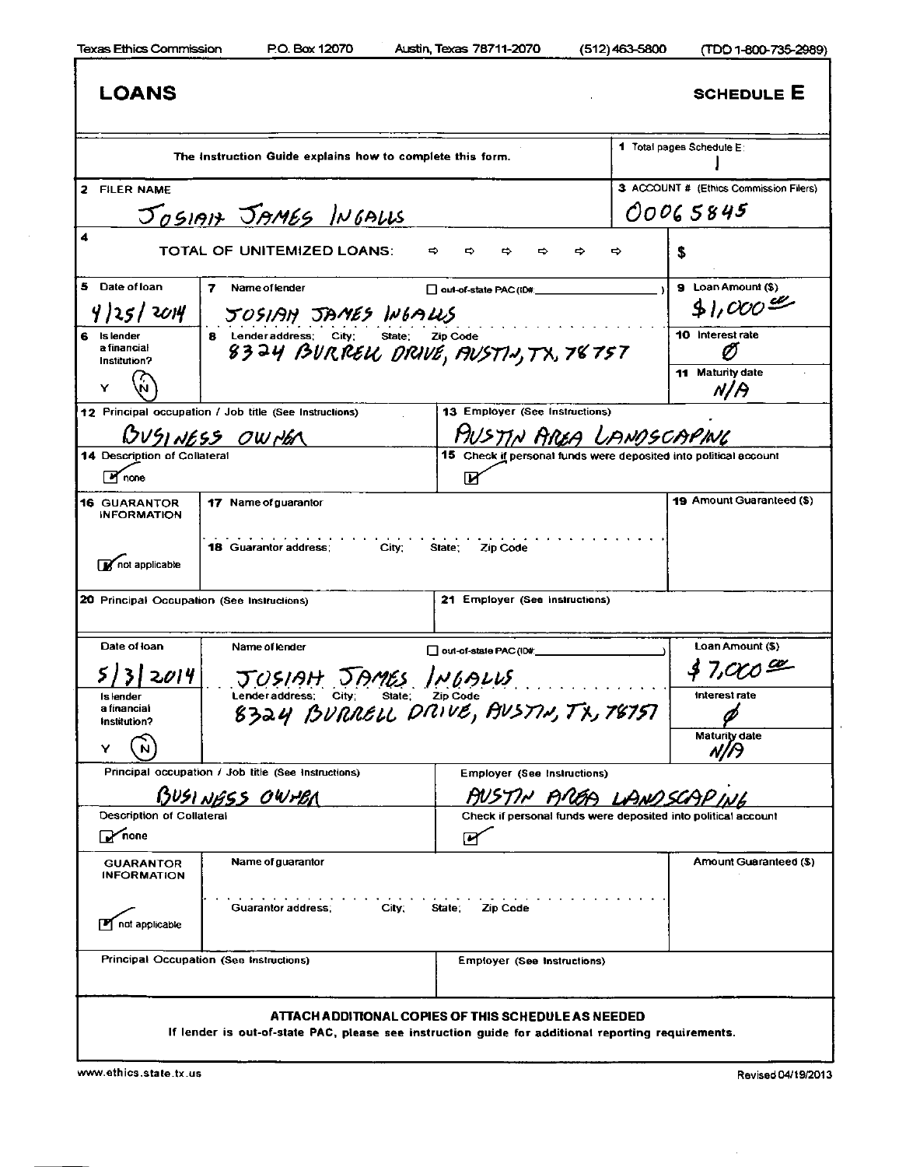I

| LOANS                                         |                                                                                                    |                                                                        | <b>SCHEDULE E</b>                                             |
|-----------------------------------------------|----------------------------------------------------------------------------------------------------|------------------------------------------------------------------------|---------------------------------------------------------------|
|                                               | The instruction Guide explains how to complete this form.                                          |                                                                        | 1 Total pages Schedule E:                                     |
| 2 FILER NAME                                  |                                                                                                    |                                                                        | 3 ACCOUNT # (Ethics Commission Filers)                        |
|                                               | JOSIAN JAMES INGALLS                                                                               |                                                                        | 00065845                                                      |
| 4                                             | TOTAL OF UNITEMIZED LOANS:<br>⇨                                                                    | ⇨                                                                      | S                                                             |
| 5 Date of loan                                | 7.<br>Name of lender                                                                               |                                                                        | 9 Loan Amount (\$)                                            |
| 4 25 2014                                     | JOSIAN JAMES WEALLS                                                                                | out-of-state PAC (ID#:                                                 | 31,000                                                        |
| 6<br>Is lender<br>a financial<br>Institution? | 8 Lenderaddress; City;<br>State;<br>8324 BURREU DRIVE, FIVSTIN, TX, 78757                          | <b>Zip Code</b>                                                        | 10 Interest rate                                              |
|                                               |                                                                                                    |                                                                        | 11 Maturity date<br>N/A                                       |
|                                               | 12 Principal occupation / Job title (See Instructions)<br>BVSINESS OWNER                           | 13 Employer (See Instructions)<br>PIUSTIN AREA LANDSCAPING             |                                                               |
| 14 Description of Collatera<br>M none         |                                                                                                    | 15 Check if personal funds were deposited into political account<br>IИ |                                                               |
| <b>16 GUARANTOR</b><br><b>INFORMATION</b>     | 17 Name of guarantor                                                                               |                                                                        | 19 Amount Guaranteed (\$)                                     |
| not applicable                                | <b>18 Guarantor address:</b><br>City:                                                              | State:<br>Zip Code                                                     |                                                               |
| 20 Principal Occupation (See Instructions)    |                                                                                                    | 21 Employer (See Instructions)                                         |                                                               |
| Date of loan                                  | Name of lender                                                                                     | out-of-state PAC (ID#:                                                 | Loan Amount (\$)                                              |
| 2014                                          | JUSIAH JAMES INGALUS                                                                               |                                                                        | 47,000                                                        |
| Is lender<br>a financial<br>Institution?      | Lender address;<br>Lenderaddress; City; State; Zip Code<br>8324 BURRELL DRIVE, BVSTIN, TX, 78757   |                                                                        | Interest rate                                                 |
| Y                                             |                                                                                                    |                                                                        | Matunty date                                                  |
|                                               | Principal occupation / Job title (See Instructions)                                                | Employer (See Instructions)                                            |                                                               |
|                                               | BUSINGSS OWTER                                                                                     | AUSTIN AREA LANDSCAP                                                   |                                                               |
| Description of Collateral<br><b>P</b> none    |                                                                                                    | ☞                                                                      | Check if personal funds were deposited into political account |
| <b>GUARANTOR</b><br><b>INFORMATION</b>        | Name of guarantor                                                                                  |                                                                        | Amount Guaranteed (\$)                                        |
| not applicable                                | Guarantor address:<br>City:                                                                        | State:<br>Zip Code                                                     |                                                               |
|                                               | Principal Occupation (See Instructions)                                                            | <b>Employer (See Instructions)</b>                                     |                                                               |
|                                               | If lender is out-of-state PAC, please see instruction guide for additional reporting requirements. | ATTACH ADDITIONAL COPIES OF THIS SCHEDULE AS NEEDED                    |                                                               |

 $\sim$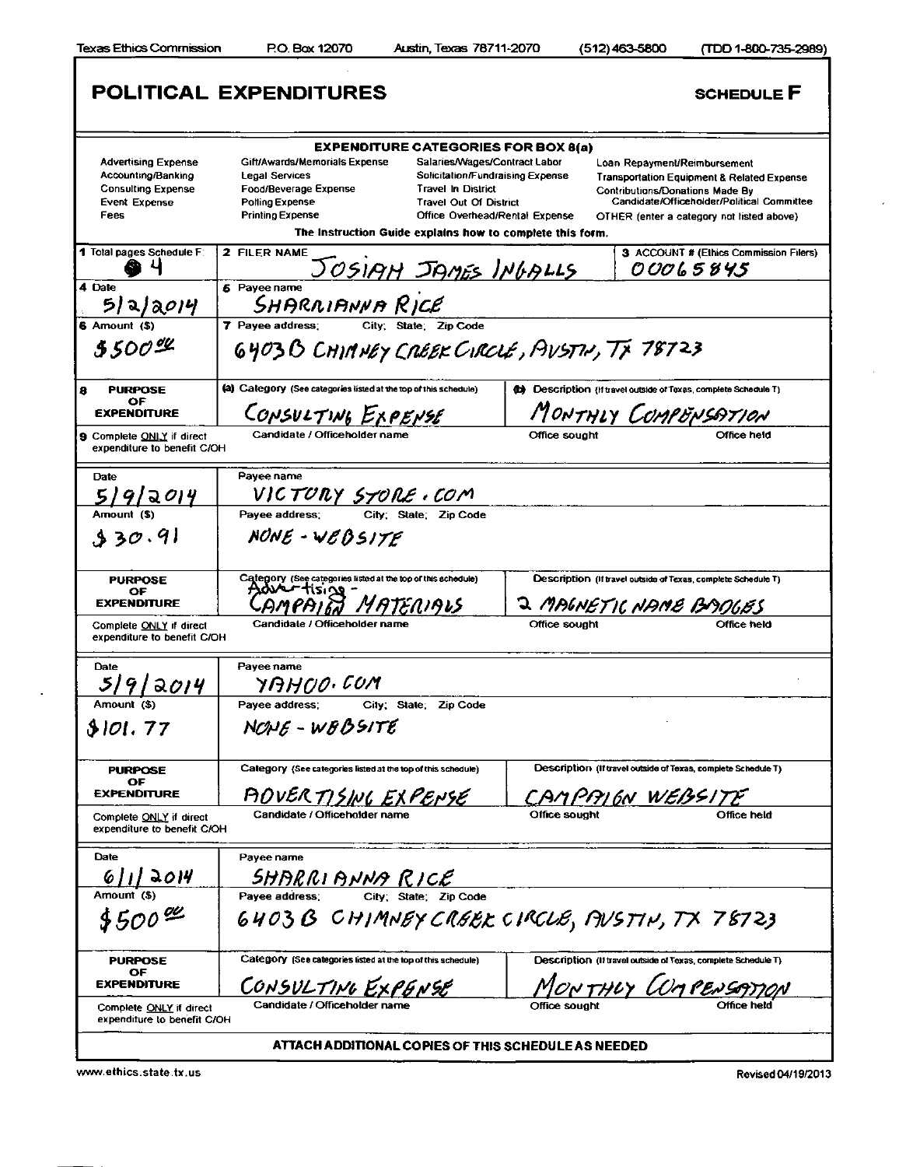ı

 $\epsilon$ 

|                                                                                                               | POLITICAL EXPENDITURES                                                                                                                                                                                                                                          | <b>SCHEDULE F</b>                                                                                                                                                                                                                                                                                                                 |
|---------------------------------------------------------------------------------------------------------------|-----------------------------------------------------------------------------------------------------------------------------------------------------------------------------------------------------------------------------------------------------------------|-----------------------------------------------------------------------------------------------------------------------------------------------------------------------------------------------------------------------------------------------------------------------------------------------------------------------------------|
|                                                                                                               | <b>EXPENDITURE CATEGORIES FOR BOX 8(a)</b>                                                                                                                                                                                                                      |                                                                                                                                                                                                                                                                                                                                   |
| <b>Advertising Expense</b><br>Accounting/Banking<br><b>Consulting Expense</b><br><b>Event Expense</b><br>Fees | Gift/Awards/Memorials Expense<br><b>Legal Services</b><br>Food/Beverage Expense<br><b>Travel In District</b><br><b>Polling Expense</b><br><b>Travel Out Of District</b><br><b>Printing Expense</b><br>The Instruction Guide explains how to complete this form. | Salaries/Wages/Contract Labor<br>Loan Repayment/Reimbursement<br>Solicitation/Fundraising Expense<br><b>Transportation Equipment &amp; Related Expense</b><br><b>Contributions/Donations Made By</b><br>Candidate/Officeholder/Political Committee<br>Office Overhead/Rental Expense<br>OTHER (enter a category not listed above) |
| 1 Total pages Schedule F:                                                                                     | 2 FILER NAME<br>JOSIAH JAMES INGALLS                                                                                                                                                                                                                            | 3 ACCOUNT # (Ethics Commission Filers)<br>00065845                                                                                                                                                                                                                                                                                |
| 4 Date<br>512/2014                                                                                            | 5 Payee name<br>SHARRIANNA RICE                                                                                                                                                                                                                                 |                                                                                                                                                                                                                                                                                                                                   |
| 6 Amount (\$)                                                                                                 | 7 Pavee address:<br>City; State; Zip Code                                                                                                                                                                                                                       |                                                                                                                                                                                                                                                                                                                                   |
| 5.500%                                                                                                        | 6403B CHIMNEY CREEK CIRCLE, AVSTN, TX 78723                                                                                                                                                                                                                     |                                                                                                                                                                                                                                                                                                                                   |
| <b>PURPOSE</b><br>8<br>OF                                                                                     | (a) Category (See categories listed at the top of this schedule)                                                                                                                                                                                                | (b) Description (If travel outside of Texas, complete Schedule T)                                                                                                                                                                                                                                                                 |
| <b>EXPENDITURE</b>                                                                                            | CONSULTING EXPENSE                                                                                                                                                                                                                                              | MONTHLY COMPENSATION                                                                                                                                                                                                                                                                                                              |
| <b>9 Complete ONLY if direct</b><br>expenditure to benefit C/OH                                               | Candidate / Officeholder name                                                                                                                                                                                                                                   | Office sought<br>Difice held                                                                                                                                                                                                                                                                                                      |
| Date                                                                                                          | Pavee name                                                                                                                                                                                                                                                      |                                                                                                                                                                                                                                                                                                                                   |
| <u>5/9/2014</u>                                                                                               | <u>VICTORY STORE · COM</u>                                                                                                                                                                                                                                      |                                                                                                                                                                                                                                                                                                                                   |
| Amount (\$)                                                                                                   | City; State; Zip Code<br>Pavee address:                                                                                                                                                                                                                         |                                                                                                                                                                                                                                                                                                                                   |
| 330.91                                                                                                        | NONE - WEBSITE                                                                                                                                                                                                                                                  |                                                                                                                                                                                                                                                                                                                                   |
| <b>PURPOSE</b><br>ОF<br><b>EXPENDITURE</b>                                                                    | Category (See categories listed at the top of this schedule)<br>ATENIAIS                                                                                                                                                                                        | Description (If travel outside of Texas, complete Schedule T)<br>J MAGNETIC NAME BADGES                                                                                                                                                                                                                                           |
| Complete ONLY if direct<br>expenditure to benefit C/OH                                                        | Candidate / Officeholder name                                                                                                                                                                                                                                   | Office held<br>Office sought                                                                                                                                                                                                                                                                                                      |
| Date<br>5/9/2014                                                                                              | Payee name<br>YAHOO COM                                                                                                                                                                                                                                         |                                                                                                                                                                                                                                                                                                                                   |
| Amount (\$)                                                                                                   | Pavee address:<br>City: State: Zip Code                                                                                                                                                                                                                         |                                                                                                                                                                                                                                                                                                                                   |
| 8101.77                                                                                                       | $NCME - WBBSTTE$                                                                                                                                                                                                                                                |                                                                                                                                                                                                                                                                                                                                   |
| <b>PURPOSE</b><br>OF                                                                                          | Category (See categories listed at the top of this schedule)                                                                                                                                                                                                    | Description (If travel outside of Texas, complete Schedule T)                                                                                                                                                                                                                                                                     |
| <b>EXPENDITURE</b>                                                                                            | AOVERTISING EXPENSE                                                                                                                                                                                                                                             | CAMPRIGN WEBSITE                                                                                                                                                                                                                                                                                                                  |
| Complete ONLY if direct<br>expenditure to benefit C/OH                                                        | Candidate / Officeholder name                                                                                                                                                                                                                                   | Office sought<br>Office held                                                                                                                                                                                                                                                                                                      |
| Date                                                                                                          | Payee name                                                                                                                                                                                                                                                      |                                                                                                                                                                                                                                                                                                                                   |
| 61112014                                                                                                      | <b>SHARRI ANNA RICE</b><br>aver artifress: City; State; Zip Code                                                                                                                                                                                                |                                                                                                                                                                                                                                                                                                                                   |
| Amount (S)                                                                                                    |                                                                                                                                                                                                                                                                 |                                                                                                                                                                                                                                                                                                                                   |
| $$500^{00}$                                                                                                   |                                                                                                                                                                                                                                                                 | 6403 B CHIMNEY CREEK CIRCLE, AVSTIN, TX 78723                                                                                                                                                                                                                                                                                     |
| <b>PURPOSE</b>                                                                                                | Category (See categories listed at the top of this schedule)                                                                                                                                                                                                    | Description (If travel outside of Texas, complete Schedule T)                                                                                                                                                                                                                                                                     |
| OF<br><b>EXPENDITURE</b>                                                                                      | CONSULTING EXPENSE                                                                                                                                                                                                                                              | MONTHLY LOMPENSATION                                                                                                                                                                                                                                                                                                              |
| Complete ONLY if direct<br>expenditure to benefit C/OH                                                        | Candidate / Officeholder name                                                                                                                                                                                                                                   |                                                                                                                                                                                                                                                                                                                                   |
|                                                                                                               | ATTACH ADDITIONAL COPIES OF THIS SCHEDULE AS NEEDED                                                                                                                                                                                                             |                                                                                                                                                                                                                                                                                                                                   |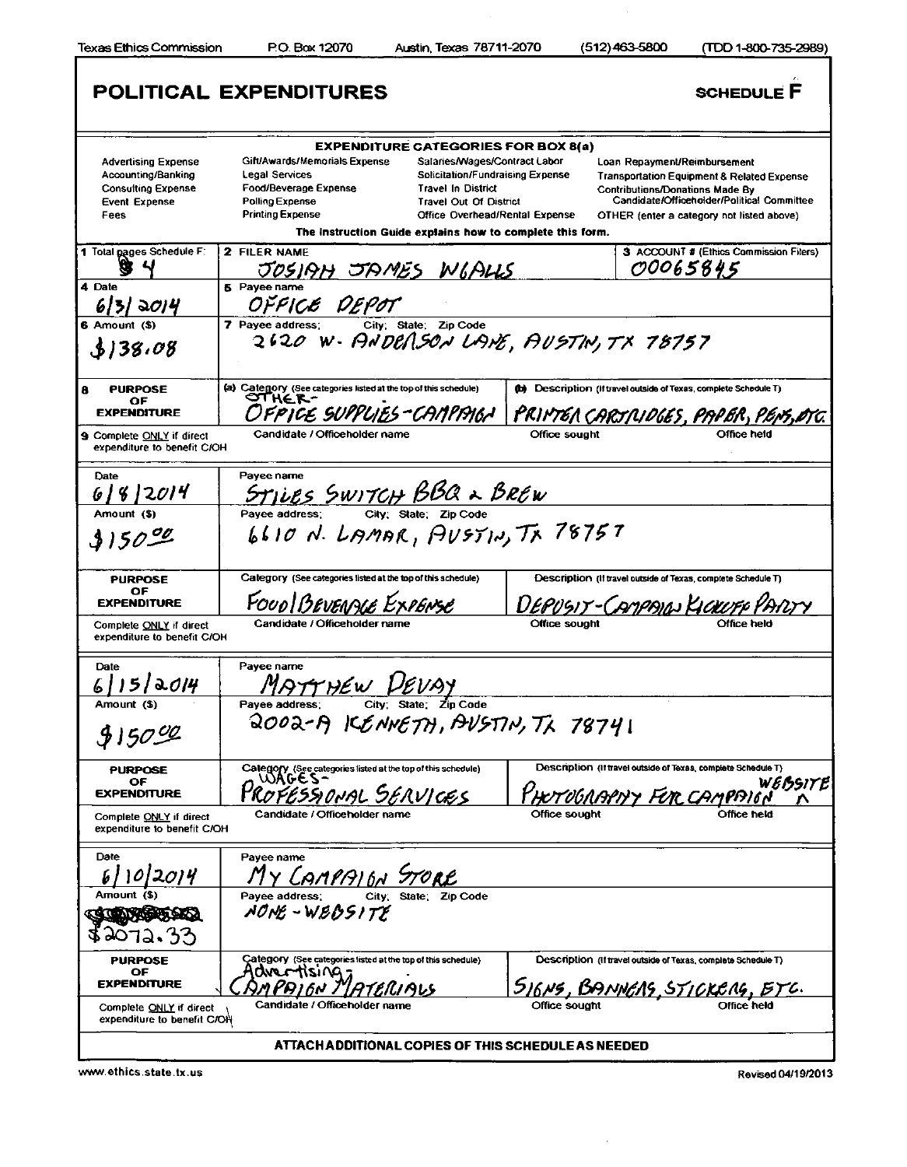$\overline{\phantom{a}}$ 

|                                                                                                               | POLITICAL EXPENDITURES                                                                                                                      |                                                                                                                                                                                                                                       |               | <b>SCHEDULE F</b>                                                                                                                                                                                        |
|---------------------------------------------------------------------------------------------------------------|---------------------------------------------------------------------------------------------------------------------------------------------|---------------------------------------------------------------------------------------------------------------------------------------------------------------------------------------------------------------------------------------|---------------|----------------------------------------------------------------------------------------------------------------------------------------------------------------------------------------------------------|
|                                                                                                               |                                                                                                                                             | <b>EXPENDITURE CATEGORIES FOR BOX 8(a)</b>                                                                                                                                                                                            |               |                                                                                                                                                                                                          |
| <b>Advertising Expense</b><br>Accounting/Banking<br><b>Consulting Expense</b><br><b>Event Expense</b><br>Fees | Gift/Awards/Memorials Expense<br><b>Legal Services</b><br><b>Food/Beverage Expense</b><br><b>Polling Expense</b><br><b>Printing Expense</b> | Salaries/Wages/Contract Labor<br>Solicitation/Fundraising Expense<br><b>Travel In District</b><br><b>Travel Out Of District</b><br><b>Office Overhead/Rental Expense</b><br>The Instruction Guide explains how to complete this form. |               | Loan Repayment/Reimbursement<br>Transportation Equipment & Related Expense<br>Contributions/Donations Made By<br>Candidate/Officeholder/Political Committee<br>OTHER (enter a category not listed above) |
| 1 Total pages Schedule F:                                                                                     | 2 FILER NAME<br>JOSIAH JAMES WIALLS                                                                                                         |                                                                                                                                                                                                                                       |               | 3 ACCOUNT # (Ethics Commission Filers)<br>00065845                                                                                                                                                       |
| 4 Date<br>6131 2014                                                                                           | 5 Payee name<br>OFFICE DEPOT                                                                                                                |                                                                                                                                                                                                                                       |               |                                                                                                                                                                                                          |
| 6 Amount (S)<br>\$138.08                                                                                      | 7 Payee address; City: State: Zip Code<br>2620 W - ANDERSON LANE, AUSTIN, TX 78757                                                          |                                                                                                                                                                                                                                       |               |                                                                                                                                                                                                          |
| 8<br><b>PURPOSE</b><br>OF                                                                                     | (a) Category (See categories listed at the top of this schedule)<br>OTHE R-                                                                 |                                                                                                                                                                                                                                       |               | (b) Description (If travel outside of Texas, complete Schedule T)                                                                                                                                        |
| <b>EXPENDITURE</b><br>9 Complete ONLY if direct<br>expenditure to benefit C/OH                                | DFPICE SUPPLIES-CAMPAIGA<br>Candidate / Officeholder name                                                                                   |                                                                                                                                                                                                                                       | Office sought | <u>PRIMTER CARTRIDGES, PAPER, P</u><br>Office held                                                                                                                                                       |
| Date                                                                                                          | Pavee name                                                                                                                                  |                                                                                                                                                                                                                                       |               |                                                                                                                                                                                                          |
| 8 2014                                                                                                        | $S$ T <u>JUES</u> SWITCH BBQ & BREW<br>Payee address: City; State; Zip Code                                                                 |                                                                                                                                                                                                                                       |               |                                                                                                                                                                                                          |
| Amount (\$)<br>$3150^{90}$                                                                                    | Pavee address:<br>6610 N. LAMAR, AUSTIN, TX 78757                                                                                           |                                                                                                                                                                                                                                       |               |                                                                                                                                                                                                          |
| <b>PURPOSE</b><br>OF.<br><b>EXPENDITURE</b>                                                                   | Category (See categories listed at the top of this schedule)<br>FOUD BEVENAGE EXPENSE                                                       |                                                                                                                                                                                                                                       |               | Exas, compliction (if travel outside of Texas, complete Schedule T)<br>'EPU'SIT-CAMPAIGJ KICKUFF                                                                                                         |
| Complete <u>ONLY</u> if direct<br>expenditure to benefit C/OH                                                 | Candidate / Officeholder name                                                                                                               |                                                                                                                                                                                                                                       | Office sought |                                                                                                                                                                                                          |
| Date<br>a014                                                                                                  | Payee name<br><u>HEW VEI</u>                                                                                                                |                                                                                                                                                                                                                                       |               |                                                                                                                                                                                                          |
| Amount (\$)<br>915000                                                                                         | Pavee address:<br>QOOQ-A KENNETH, AVSTIN, TX 78741                                                                                          | City; State; Zip Code                                                                                                                                                                                                                 |               |                                                                                                                                                                                                          |
| <b>PURPOSE</b><br>OF<br><b>EXPENDITURE</b>                                                                    | Category (See categories listed at the top of this schedule)<br>WAGES-                                                                      |                                                                                                                                                                                                                                       |               | Description (If travel outside of Texas, complete Schedule T)<br>WEBSITE<br>HOTOGRAPHY FOR CAMPAIGN                                                                                                      |
| Complete ONLY if direct<br>expenditure to benefit C/OH                                                        | Candidate / Officeholder name                                                                                                               |                                                                                                                                                                                                                                       | Office sought |                                                                                                                                                                                                          |
| Date<br>2014                                                                                                  | Payee name<br>Y CAMPAIGN STORE                                                                                                              |                                                                                                                                                                                                                                       |               |                                                                                                                                                                                                          |
| Amount (\$)                                                                                                   | City; State;<br>Payee address:<br>NONE - WEBSITE                                                                                            | Zip Code                                                                                                                                                                                                                              |               |                                                                                                                                                                                                          |
| <b>PURPOSE</b><br>ОF<br><b>EXPENDITURE</b>                                                                    | Category (See categories listed at the top of this schedule)<br>anertising                                                                  |                                                                                                                                                                                                                                       |               | Description (If travel outside of Texas, complete Schedule T)                                                                                                                                            |
| Complete ONLY if direct<br>expenditure to benefit C/OH                                                        | Candidate / Officeholder name                                                                                                               |                                                                                                                                                                                                                                       |               | 516NS, BANNERS, STICKERS, ETC.                                                                                                                                                                           |
|                                                                                                               |                                                                                                                                             | ATTACH ADDITIONAL COPIES OF THIS SCHEDULE AS NEEDED                                                                                                                                                                                   |               |                                                                                                                                                                                                          |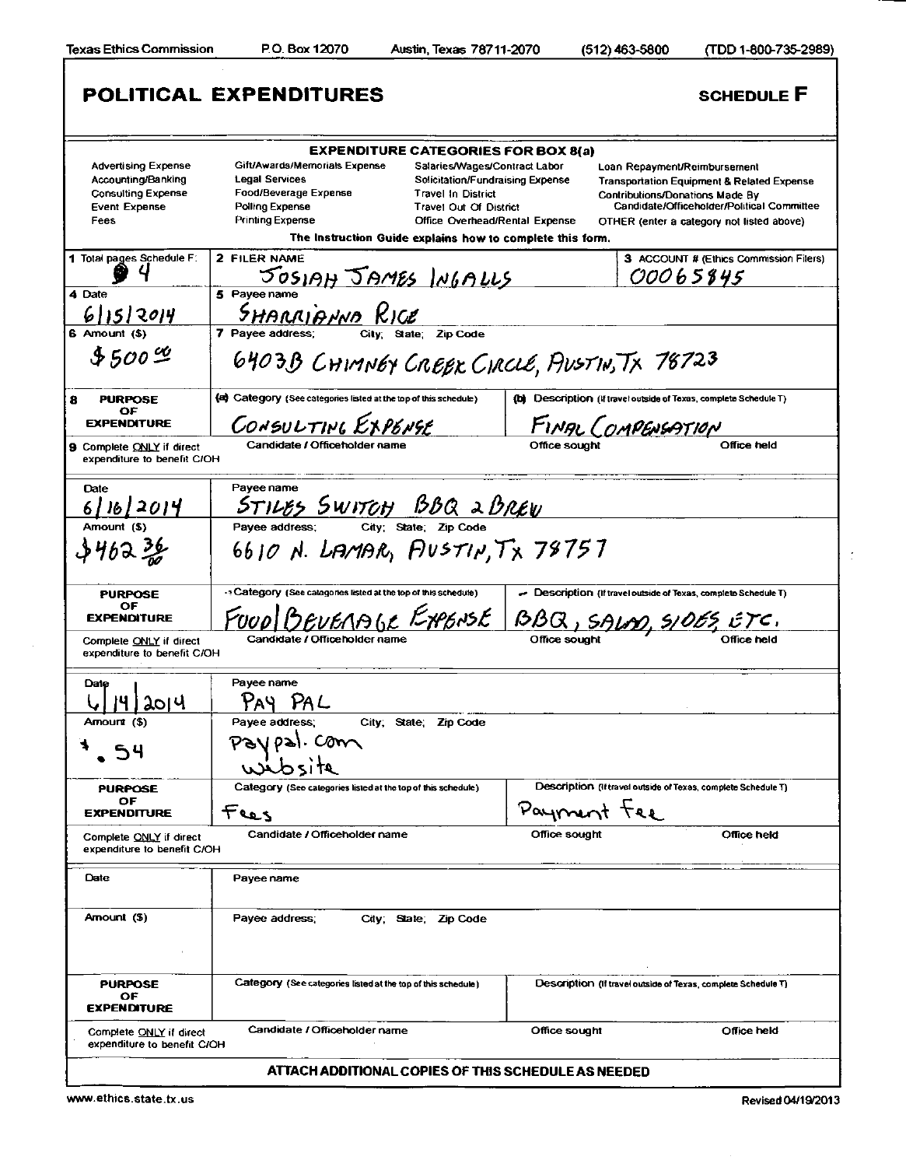Е

|                                                                                                               | <b>POLITICAL EXPENDITURES</b>                                                                                                                                               |                                                                                                                                                            |                              | <b>SCHEDULE F</b>                                                                                                                                                                                                          |  |
|---------------------------------------------------------------------------------------------------------------|-----------------------------------------------------------------------------------------------------------------------------------------------------------------------------|------------------------------------------------------------------------------------------------------------------------------------------------------------|------------------------------|----------------------------------------------------------------------------------------------------------------------------------------------------------------------------------------------------------------------------|--|
| <b>Advertising Expense</b><br>Accounting/Banking<br><b>Consulting Expense</b><br><b>Event Expense</b><br>Fees | <b>EXPENDITURE CATEGORIES FOR BOX 8(a)</b><br>Gift/Awards/Memorials Expense<br><b>Legal Services</b><br>Food/Beverage Expense<br>Polling Expense<br><b>Printing Expense</b> | Salaries/Wages/Contract Labor<br>Solicitation/Fundraising Expense<br>Travel In District<br><b>Travel Out Of District</b><br>Office Overhead/Rental Expense |                              | Loan Repayment/Reimbursement<br><b>Transportation Equipment &amp; Related Expense</b><br><b>Contributions/Donations Made By</b><br>Candidate/Officeholder/Political Committee<br>OTHER (enter a category not listed above) |  |
| 1 Total pages Schedule F:                                                                                     | The Instruction Guide explains how to complete this form.<br>2 FILER NAME<br><u>JOSIAH JAMES INGALLS</u>                                                                    |                                                                                                                                                            |                              | 3 ACCOUNT # (Ethics Commission Filers)<br><i>00065845</i>                                                                                                                                                                  |  |
| 4 Date<br>6 15 2014<br>6 Amount (\$)                                                                          | 5 Payee name<br>SHARRIAND RICE<br>7 Pavee address:                                                                                                                          | State: Zip Code                                                                                                                                            |                              |                                                                                                                                                                                                                            |  |
| $$500\%$                                                                                                      | 6403B CHIMNEY CREEK CIRCLE, PIUSTIN, TX 78723                                                                                                                               |                                                                                                                                                            |                              |                                                                                                                                                                                                                            |  |
| 8<br><b>PURPOSE</b><br>ОF                                                                                     | (a) Category (See categories listed at the top of this schedule)                                                                                                            |                                                                                                                                                            |                              | (b) Description (If travel outside of Texas, complete Schedule T)                                                                                                                                                          |  |
| <b>EXPENDITURE</b>                                                                                            | CONSULTING EXPENSE                                                                                                                                                          |                                                                                                                                                            |                              | FINAL COMPENSATION                                                                                                                                                                                                         |  |
| <b>9</b> Complete ONLY if direct<br>expenditure to benefit C/OH                                               | Candidate / Officeholder name                                                                                                                                               |                                                                                                                                                            | Office sough                 | Office held                                                                                                                                                                                                                |  |
| Date                                                                                                          | Payee name<br>STILES SWITCH BBQ 2 BREW                                                                                                                                      |                                                                                                                                                            |                              |                                                                                                                                                                                                                            |  |
| <u>6   16   2014</u>                                                                                          | Payee address:                                                                                                                                                              | City: State: Zip Code                                                                                                                                      |                              |                                                                                                                                                                                                                            |  |
| すり6コ 桑                                                                                                        | 6610 N. LAMAR, FIUSTIN, TX 78757                                                                                                                                            |                                                                                                                                                            |                              |                                                                                                                                                                                                                            |  |
| <b>PURPOSE</b><br>ОF<br><b>EXPENDITURE</b><br>Complete ONLY if direct                                         | $\cdot$ Category (See categories listed at the top of this schedule).<br>Candidate / Officeholder name                                                                      |                                                                                                                                                            |                              | - Description (If travel outside of Texas, complete Schedule T)<br>BEVERAIL EXENSE BBQ, SALM, SIDES, ETC.                                                                                                                  |  |
| expenditure to benefit C/OH                                                                                   |                                                                                                                                                                             |                                                                                                                                                            |                              |                                                                                                                                                                                                                            |  |
| Date<br>ગ્રામ                                                                                                 | Payee name<br>PAY PAL                                                                                                                                                       |                                                                                                                                                            |                              |                                                                                                                                                                                                                            |  |
| Arnount (\$)                                                                                                  | Payee address;<br>$\mathbf{a}$ . Com                                                                                                                                        | City; State; Zip Code                                                                                                                                      |                              |                                                                                                                                                                                                                            |  |
| <b>PURPOSE</b><br>ОF                                                                                          | Category (See categories listed at the top of this schedule)                                                                                                                |                                                                                                                                                            |                              | Description (if travel outside of Texas, complete Schedule T)                                                                                                                                                              |  |
| <b>EXPENDITURE</b><br>Complete ONLY if direct<br>expenditure to benefit C/OH                                  | Fees<br>Candidate / Officeholder name                                                                                                                                       |                                                                                                                                                            | Payment tee<br>Office sought | Office held                                                                                                                                                                                                                |  |
| Date                                                                                                          | Payee name                                                                                                                                                                  |                                                                                                                                                            |                              |                                                                                                                                                                                                                            |  |
| Arnount (\$)                                                                                                  | Payee address;                                                                                                                                                              | City; State; Zip Code                                                                                                                                      |                              |                                                                                                                                                                                                                            |  |
| <b>PURPOSE</b><br>OF<br><b>EXPENDITURE</b>                                                                    | Category (See categories listed at the top of this schedule)                                                                                                                |                                                                                                                                                            |                              | Description (If travel outside of Texas, complete Schedule T)                                                                                                                                                              |  |
| Complete ONLY if direct<br>expenditure to benefit C/OH                                                        | Candidate / Officeholder name                                                                                                                                               |                                                                                                                                                            | Office sought                | Office held                                                                                                                                                                                                                |  |
|                                                                                                               | ATTACH ADDITIONAL COPIES OF THIS SCHEDULE AS NEEDED                                                                                                                         |                                                                                                                                                            |                              |                                                                                                                                                                                                                            |  |

www.ethics.state.tx.us Revised 04/19/2013

÷,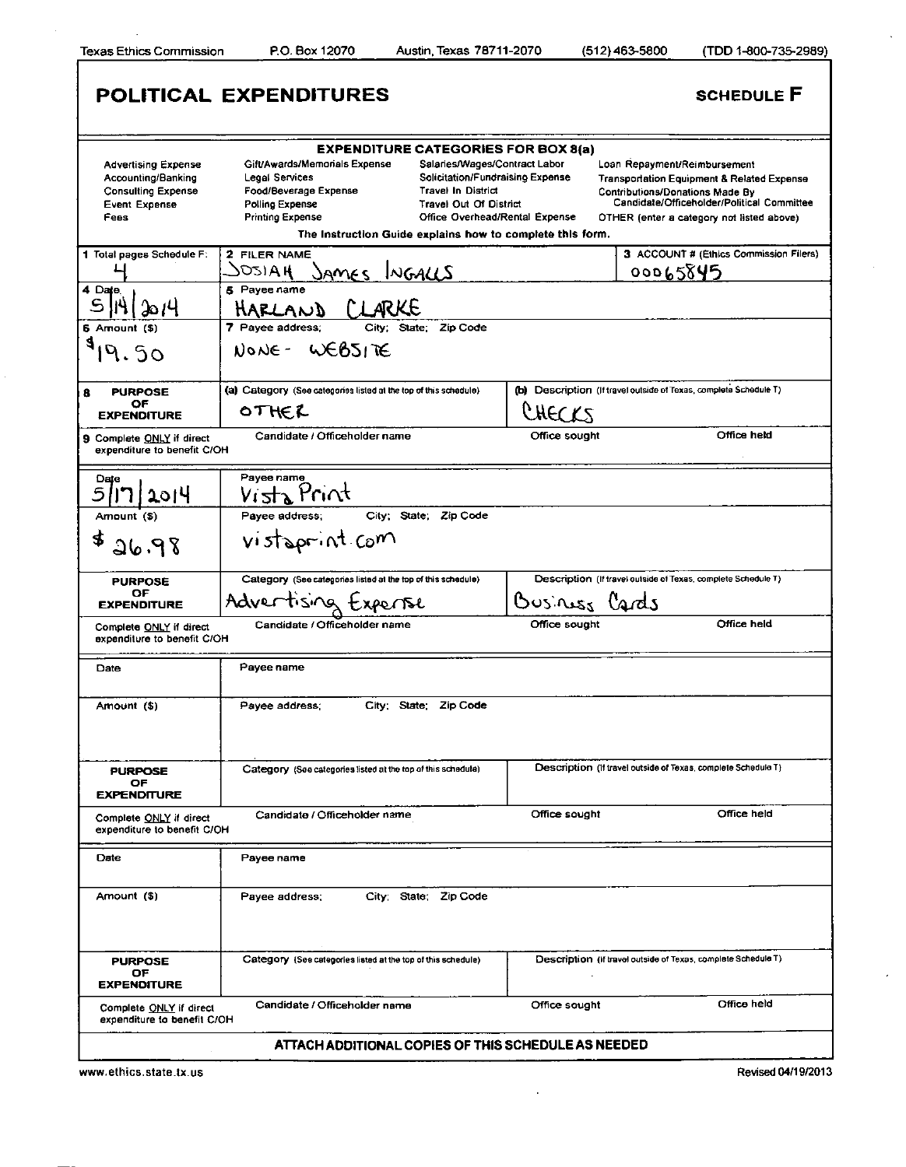$\bar{z}$ 

|                                                                                                                         | POLITICAL EXPENDITURES                                           |                                                                      |               | <b>SCHEDULE F</b>                                                                               |  |
|-------------------------------------------------------------------------------------------------------------------------|------------------------------------------------------------------|----------------------------------------------------------------------|---------------|-------------------------------------------------------------------------------------------------|--|
| <b>EXPENDITURE CATEGORIES FOR BOX 8(a)</b>                                                                              |                                                                  |                                                                      |               |                                                                                                 |  |
| <b>Advertising Expense</b>                                                                                              | Gift/Awards/Memorials Expense                                    | Salaries/Wages/Contract Labor                                        |               | Loan Repayment/Reimbursement                                                                    |  |
| Accounting/Banking<br><b>Consulting Expense</b>                                                                         | Legal Services<br>Food/Beverage Expense                          | <b>Solicitation/Fundraising Expense</b><br><b>Travel In District</b> |               | <b>Transportation Equipment &amp; Related Expense</b><br><b>Contributions/Donations Made By</b> |  |
| <b>Event Expense</b>                                                                                                    | Polling Expense                                                  | <b>Travel Out Of District</b>                                        |               | Candidate/Officeholder/Political Committee                                                      |  |
| Fees                                                                                                                    | <b>Printing Expense</b>                                          | Office Overhead/Rental Expense                                       |               | OTHER (enter a category not listed above)                                                       |  |
| The Instruction Guide explains how to complete this form.                                                               |                                                                  |                                                                      |               |                                                                                                 |  |
| 1 Total pages Schedule F:                                                                                               | 2 FILER NAME                                                     |                                                                      |               | 3 ACCOUNT # (Ethics Commission Filers)                                                          |  |
|                                                                                                                         | <b>JOSIAH</b><br>JAMES INGALLS                                   |                                                                      |               | 00065845                                                                                        |  |
| 4 Date                                                                                                                  | 5 Payee name                                                     |                                                                      |               |                                                                                                 |  |
| 2014                                                                                                                    | HARLAND CLARKE                                                   |                                                                      |               |                                                                                                 |  |
| 6 Amount (\$)                                                                                                           | 7 Payee address;<br>City:<br>State:<br>Zip Code                  |                                                                      |               |                                                                                                 |  |
| 4                                                                                                                       | NONE-WEBSITE                                                     |                                                                      |               |                                                                                                 |  |
| <b>PURPOSE</b><br>8                                                                                                     | (a) Category (See categories listed at the top of this schedule) |                                                                      |               | (b) Description (If travel outside of Texas, complete Schedule T)                               |  |
| OF<br><b>EXPENDITURE</b>                                                                                                | OTHER                                                            |                                                                      | <i>CHECKS</i> |                                                                                                 |  |
|                                                                                                                         |                                                                  |                                                                      |               |                                                                                                 |  |
| 9 Complete ONLY if direct<br>expenditure to benefit C/OH                                                                | Candidate / Officeholder name                                    |                                                                      | Office sought | Office held                                                                                     |  |
| Date                                                                                                                    | Payee name                                                       |                                                                      |               |                                                                                                 |  |
| 2014                                                                                                                    | Vista Print                                                      |                                                                      |               |                                                                                                 |  |
| Amount (\$)                                                                                                             | Payee address;                                                   | City; State; Zip Code                                                |               |                                                                                                 |  |
|                                                                                                                         |                                                                  |                                                                      |               |                                                                                                 |  |
| £<br>26.98                                                                                                              | vistoprint com                                                   |                                                                      |               |                                                                                                 |  |
| <b>PURPOSE</b>                                                                                                          | Category (See categories listed at the top of this schedule)     |                                                                      |               | Description (If travel outside of Texas, complete Schedule T)                                   |  |
| OF                                                                                                                      | Advertising txperise                                             |                                                                      | Ousines Cards |                                                                                                 |  |
| <b>EXPENDITURE</b>                                                                                                      |                                                                  |                                                                      |               |                                                                                                 |  |
| Office held<br>Office sought<br>Candidate / Officeholder name<br>Complete ONLY if direct<br>expenditure to benefit C/OH |                                                                  |                                                                      |               |                                                                                                 |  |
| Date                                                                                                                    | Payee name                                                       |                                                                      |               |                                                                                                 |  |
| Amount (\$)                                                                                                             | City; State;<br>Payee address;                                   | Zip Code                                                             |               |                                                                                                 |  |
|                                                                                                                         |                                                                  |                                                                      |               |                                                                                                 |  |
| <b>PURPOSE</b>                                                                                                          | Category (See categories listed at the top of this schedule)     |                                                                      |               | Description (if travel outside of Texas, complete Schedule T)                                   |  |
| OF.<br><b>EXPENDITURE</b>                                                                                               |                                                                  |                                                                      |               |                                                                                                 |  |
| Complete ONLY if direct<br>expenditure to benefit C/OH                                                                  | Candidate / Officeholder name                                    |                                                                      | Office sought | Office held                                                                                     |  |
| <b>Date</b>                                                                                                             | Payee name                                                       |                                                                      |               |                                                                                                 |  |
| Amount (\$)                                                                                                             | Payee address;                                                   | City; State; Zip Code                                                |               |                                                                                                 |  |
| <b>PURPOSE</b><br>OF                                                                                                    | Category (See categories listed at the top of this schedule)     |                                                                      |               | Description (if travel outside of Texas, complete Schedule T)                                   |  |
| <b>EXPENDITURE</b>                                                                                                      |                                                                  |                                                                      |               |                                                                                                 |  |
| Complete ONLY if direct<br>expenditure to benefit C/OH                                                                  | Candidate / Officeholder name                                    |                                                                      | Office sought | Office held                                                                                     |  |
| ATTACH ADDITIONAL COPIES OF THIS SCHEDULE AS NEEDED                                                                     |                                                                  |                                                                      |               |                                                                                                 |  |

 $\overline{\phantom{a}}$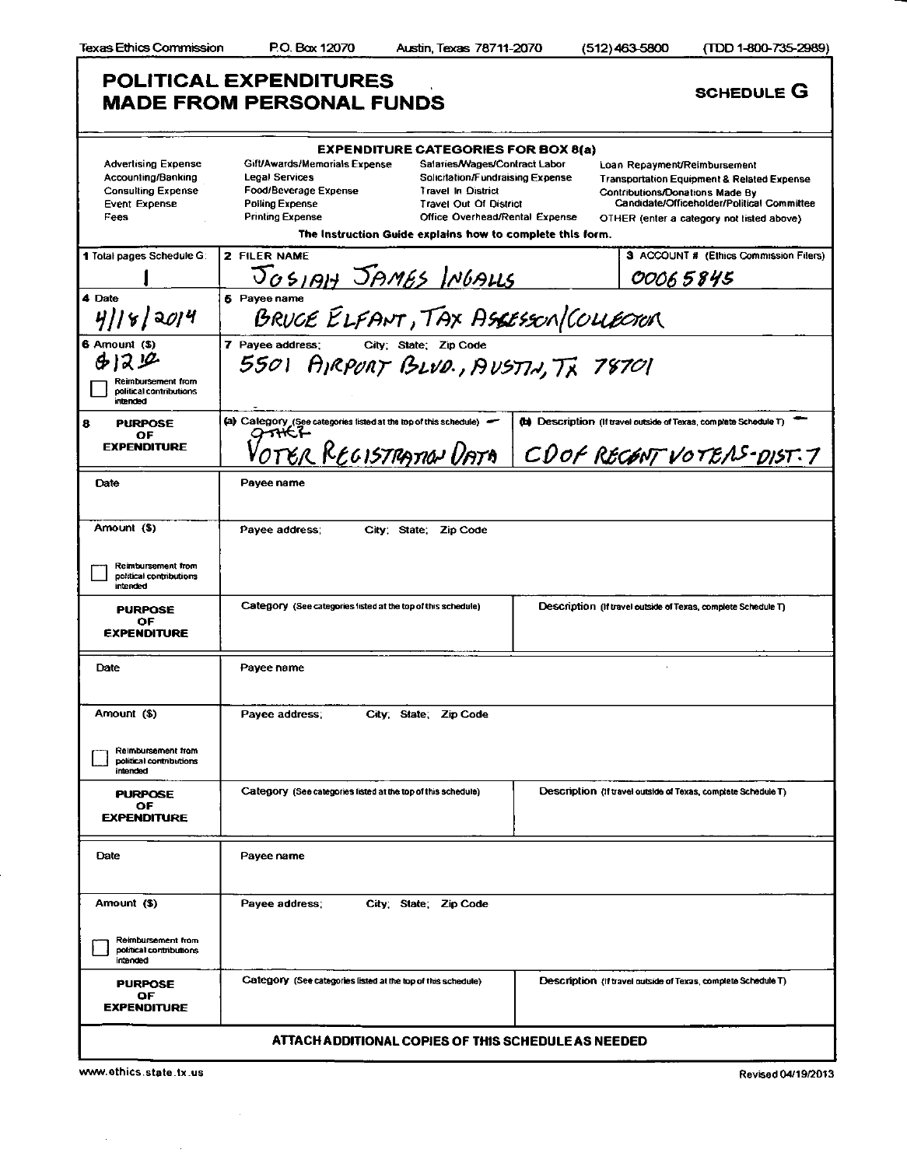| <b>POLITICAL EXPENDITURES</b><br><b>SCHEDULE G</b><br><b>MADE FROM PERSONAL FUNDS</b>                         |                                                                                                                                                                                                                                                                                                                                                                                                                                                                                                                                                                                                                                                    |                                                                   |  |  |  |
|---------------------------------------------------------------------------------------------------------------|----------------------------------------------------------------------------------------------------------------------------------------------------------------------------------------------------------------------------------------------------------------------------------------------------------------------------------------------------------------------------------------------------------------------------------------------------------------------------------------------------------------------------------------------------------------------------------------------------------------------------------------------------|-------------------------------------------------------------------|--|--|--|
| <b>Advertising Expense</b><br>Accounting/Banking<br><b>Consulting Expense</b><br><b>Event Expense</b><br>Fees | <b>EXPENDITURE CATEGORIES FOR BOX 8(a)</b><br>Gift/Awards/Memorials Expense<br>Salaries/Wages/Contract Labor<br>Loan Repayment/Reimbursement<br>Legal Services<br>Solicitation/Fundraising Expense<br><b>Transportation Equipment &amp; Related Expense</b><br>Food/Beverage Expense<br><b>Travel In District</b><br><b>Contributions/Donations Made By</b><br>Candidate/Officeholder/Political Committee<br><b>Polling Expense</b><br><b>Travel Out Of District</b><br><b>Printing Expense</b><br><b>Office Overhead/Rental Expense</b><br>OTHER (enter a category not listed above)<br>The Instruction Guide explains how to complete this form. |                                                                   |  |  |  |
| 1 Total pages Schedule G:                                                                                     | 2 FILER NAME                                                                                                                                                                                                                                                                                                                                                                                                                                                                                                                                                                                                                                       | 3 ACCOUNT # (Ethics Commission Filers)                            |  |  |  |
|                                                                                                               | JOSIAH JAMES INGALLS                                                                                                                                                                                                                                                                                                                                                                                                                                                                                                                                                                                                                               | 00065845                                                          |  |  |  |
| 4 Date<br>4  8 20 4                                                                                           | <b>6</b> Pavee name<br>BRUCE ELFANT, TAX ASSESSON/COLLECTER                                                                                                                                                                                                                                                                                                                                                                                                                                                                                                                                                                                        |                                                                   |  |  |  |
| 6 Amount (\$)<br>6129<br>Reimbursement from<br>political contributions<br>intended                            | 7 Pavee address:<br>City; State; Zip Code<br>5501 AIRPORT BLVD., AUSTIN, TX 78701                                                                                                                                                                                                                                                                                                                                                                                                                                                                                                                                                                  |                                                                   |  |  |  |
| 8<br><b>PURPOSE</b>                                                                                           | (a) Category (See categories listed at the top of this schedule)                                                                                                                                                                                                                                                                                                                                                                                                                                                                                                                                                                                   | (b) Description (if travel outside of Texas, complete Schedule T) |  |  |  |
| ОF<br><b>EXPENDITURE</b>                                                                                      | OTER REGISTRATION <u>UATA</u><br>CDOF RECENT VOTEAS-DIST.7                                                                                                                                                                                                                                                                                                                                                                                                                                                                                                                                                                                         |                                                                   |  |  |  |
| Date                                                                                                          | Payee name                                                                                                                                                                                                                                                                                                                                                                                                                                                                                                                                                                                                                                         |                                                                   |  |  |  |
| Amount (\$)<br>Reimbursement from<br>political contributions                                                  | Payee address:<br>City; State; Zip Code                                                                                                                                                                                                                                                                                                                                                                                                                                                                                                                                                                                                            |                                                                   |  |  |  |
| intended                                                                                                      |                                                                                                                                                                                                                                                                                                                                                                                                                                                                                                                                                                                                                                                    |                                                                   |  |  |  |
| <b>PURPOSE</b><br>OF<br><b>EXPENDITURE</b>                                                                    | Category (See categories listed at the top of this schedule)<br>Description (If travel outside of Texas, complete Schedule T)                                                                                                                                                                                                                                                                                                                                                                                                                                                                                                                      |                                                                   |  |  |  |
| Date                                                                                                          | Payee name                                                                                                                                                                                                                                                                                                                                                                                                                                                                                                                                                                                                                                         |                                                                   |  |  |  |
| Amount (\$)                                                                                                   | Payee address;<br>City: State: Zip Code                                                                                                                                                                                                                                                                                                                                                                                                                                                                                                                                                                                                            |                                                                   |  |  |  |
| Reimbursement from<br>political contributions<br>intended                                                     |                                                                                                                                                                                                                                                                                                                                                                                                                                                                                                                                                                                                                                                    |                                                                   |  |  |  |
| <b>PURPOSE</b><br>OF<br><b>EXPENDITURE</b>                                                                    | Category (See categories listed at the top of this schedule)                                                                                                                                                                                                                                                                                                                                                                                                                                                                                                                                                                                       | Description (If travel outside of Texas, complete Schedule T)     |  |  |  |
| Date                                                                                                          | Payee name                                                                                                                                                                                                                                                                                                                                                                                                                                                                                                                                                                                                                                         |                                                                   |  |  |  |
| Amount (\$)                                                                                                   | Payee address;<br>City, State; Zip Code                                                                                                                                                                                                                                                                                                                                                                                                                                                                                                                                                                                                            |                                                                   |  |  |  |
| Reimbursement from<br>political contributions<br>intended                                                     |                                                                                                                                                                                                                                                                                                                                                                                                                                                                                                                                                                                                                                                    |                                                                   |  |  |  |
| <b>PURPOSE</b><br>ОF<br><b>EXPENDITURE</b>                                                                    | Category (See categories listed at the top of this schedule)<br>Description (if travel outside of Texas, complete Schedule T)                                                                                                                                                                                                                                                                                                                                                                                                                                                                                                                      |                                                                   |  |  |  |
| ATTACH ADDITIONAL COPIES OF THIS SCHEDULE AS NEEDED                                                           |                                                                                                                                                                                                                                                                                                                                                                                                                                                                                                                                                                                                                                                    |                                                                   |  |  |  |

 $\bar{z}$ 

 $\mathcal{A}^{\pm}$  .